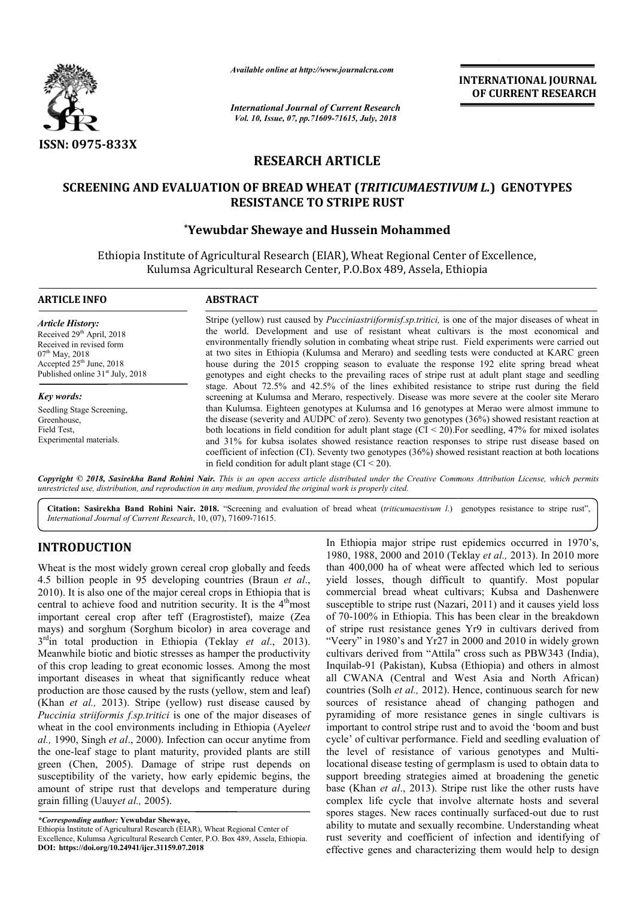

*Available online at http://www.journalcra.com*

*International Journal of Current Research Vol. 10, Issue, 07, pp.71609-71615, July, 2018*

**INTERNATIONAL JOURNAL OF CURRENT RESEARCH**

# **RESEARCH ARTICLE**

## **SCREENING AND EVALUATION OF BREAD WHEAT (** *TRITICUMAESTIVUM L. TRITICUMAESTIVUM L.***) GENOTYPES RESISTANCE TO STRIPE RUST**

## **\*Yewubdar Yewubdar Shewaye and Hussein Mohammed**

Ethiopia Institute of Agricultural Research (EIAR), Wheat Regional Center of Excellence, nstitute of Agricultural Research (EIAR), Wheat Regional Center of E<br>Kulumsa Agricultural Research Center, P.O.Box 489, Assela, Ethiopia

| <b>ARTICLE INFO</b>                                                                                                                                                                            | <b>ABSTRACT</b>                                                                                                                                                                                                                                                                                                                                                                                                                                                                                                                                                                                                           |  |  |  |  |  |
|------------------------------------------------------------------------------------------------------------------------------------------------------------------------------------------------|---------------------------------------------------------------------------------------------------------------------------------------------------------------------------------------------------------------------------------------------------------------------------------------------------------------------------------------------------------------------------------------------------------------------------------------------------------------------------------------------------------------------------------------------------------------------------------------------------------------------------|--|--|--|--|--|
| <b>Article History:</b><br>Received 29 <sup>th</sup> April, 2018<br>Received in revised form<br>$07th$ May, 2018<br>Accepted $25th$ June, 2018<br>Published online 31 <sup>st</sup> July, 2018 | Stripe (yellow) rust caused by <i>Pucciniastriiformisf.sp.tritici</i> , is one of the major diseases of wheat in<br>the world. Development and use of resistant wheat cultivars is the most economical and<br>environmentally friendly solution in combating wheat stripe rust. Field experiments were carried out<br>at two sites in Ethiopia (Kulumsa and Meraro) and seedling tests were conducted at KARC green<br>house during the 2015 cropping season to evaluate the response 192 elite spring bread wheat<br>genotypes and eight checks to the prevailing races of stripe rust at adult plant stage and seedling |  |  |  |  |  |
| Key words:                                                                                                                                                                                     | stage. About 72.5% and 42.5% of the lines exhibited resistance to stripe rust during the field<br>screening at Kulumsa and Meraro, respectively. Disease was more severe at the cooler site Meraro                                                                                                                                                                                                                                                                                                                                                                                                                        |  |  |  |  |  |
| Seedling Stage Screening,<br>Greenhouse,<br>Field Test,<br>Experimental materials.                                                                                                             | than Kulumsa. Eighteen genotypes at Kulumsa and 16 genotypes at Merao were almost immune to<br>the disease (severity and AUDPC of zero). Seventy two genotypes (36%) showed resistant reaction at<br>both locations in field condition for adult plant stage $(CI < 20)$ . For seedling, 47% for mixed isolates<br>and 31% for kubsa isolates showed resistance reaction responses to stripe rust disease based on<br>coefficient of infection (CI). Seventy two genotypes (36%) showed resistant reaction at both locations<br>in field condition for adult plant stage $(CI < 20)$ .                                    |  |  |  |  |  |

Copyright © 2018, Sasirekha Band Rohini Nair. This is an open access article distributed under the Creative Commons Attribution License, which permits *unrestricted use, distribution, and reproduction in any medium, provided the original work is properly cited.*

Citation: Sasirekha Band Rohini Nair. 2018. "Screening and evaluation of bread wheat (triticumaestivum l.) genotypes resistance to stripe rust", *International Journal of Current Research*, 10, (07), 71609 71609-71615.

# **INTRODUCTION**

Wheat is the most widely grown cereal crop globally and feeds 4.5 billion people in 95 developing countries (Braun *et al*., 2010). It is also one of the major cereal crops in Ethiopia that is central to achieve food and nutrition security. It is the 4<sup>th</sup>most important cereal crop after teff (Eragrostistef), maize (Zea mays) and sorghum (Sorghum bicolor) in area coverage and 3<sup>rd</sup>in total production in Ethiopia (Teklay et al., 2013). Meanwhile biotic and biotic stresses as hamper the productivity of this crop leading to great economic losses. Among the most important diseases in wheat that significantly reduce wheat production are those caused by the rusts (yellow, stem and leaf) (Khan *et al.,* 2013). Stripe (yellow) rust disease caused by *Puccinia striiformis f.sp.tritici* is one of the major diseases of wheat in the cool environments including in Ethiopia (Ayele *et al.,* 1990, Singh *et al*., 2000). Infection can occur anytime from the one-leaf stage to plant maturity, provided plants are still green (Chen, 2005). Damage of stripe rust depends on susceptibility of the variety, how early epidemic begins, the amount of stripe rust that develops and temperature during grain filling (Uauy*et al.,* 2005). tic stresses as<br>eat economic<br>heat that sig<br>ed by the rust<br>ipe (yellow) rity, provided plants are stil<br>of stripe rust depends or<br>w early epidemic begins, the<br>lops and temperature during<br>ve,<br>we,<br>ELAR), Wheat Regional Center of<br>Center, P.O. Box 489, Assela, Ethiopia.

In Ethiopia major stripe rust epidemics occurred in 1970's, 1980, 1988, 2000 and 2010 (Teklay *et al.*, 2013). In 2010 more 1980, 1988, 2000 and 2010 (Teklay et al., 2013). In 2010 more than 400,000 ha of wheat were affected which led to serious yield losses, though difficult to quantify. Most popular commercial bread wheat cultivars; Kubsa and Dashenwere susceptible to stripe rust (Nazari, 2011) and it causes yield loss of 70-100% in Ethiopia. This has been clear in the breakdown of stripe rust resistance genes Yr9 in cultivars derived from "Veery" in 1980's and Yr27 in 2000 and 2010 in widely grown cultivars derived from "Attila" cross such as PBW343 (India), Inquilab-91 (Pakistan), Kubsa (Ethiopia) and others in almost all CWANA (Central and West Asia and North African) countries (Solh *et al.,* 2012). Hence, continuous search for new sources of resistance ahead of changing pathogen and pyramiding of more resistance genes in single cultivars is important to control stripe rust and to avoid the 'boom and bust cycle' of cultivar performance. Field and seedling evaluation of the level of resistance of various genotypes and Multi Multilocational disease testing of germplasm is used to obtain data to support breeding strategies aimed at broadening the genetic base (Khan *et al*., 2013). Stripe rust like the other rusts have complex life cycle that involve alternate hosts and several spores stages. New races continually surfaced-out due to rust ability to mutate and sexually recombine. Understanding wheat rust severity and coefficient of infection and identifying of effective genes and characterizing them would help to design than 400,000 ha of wheat were affected which led<br>yield losses, though difficult to quantify. Mo<br>commercial bread wheat cultivars; Kubsa and I<br>susceptible to stripe rust (Nazari, 2011) and it cause<br>of 70-100% in Ethiopia. T Inquilab-91 (Pakistan), Kubsa (Ethiopia) and others in almost all CWANA (Central and West Asia and North African) countries (Solh *et al.*, 2012). Hence, continuous search for new sources of resistance ahead of changing pa locational disease testing of germplasm is used to obtain data to support breeding strategies aimed at broadening the genetic base (Khan *et al.*, 2013). Stripe rust like the other rusts have complex life cycle that involv **EXERCATE THE SEAL FOR ALTERT SEAL FOR ALTERT SEE ANSEE ARCHEST (Current Research of CURRENT RESEEARCHEST (Current Research of and would help design**  $\theta$ **,**  $\theta$ **,**  $\theta$ **,**  $\theta$ **,**  $\theta$  **and**  $\theta$  **and**  $\theta$  **and**  $\theta$  **and**  $\theta$  **and \theta**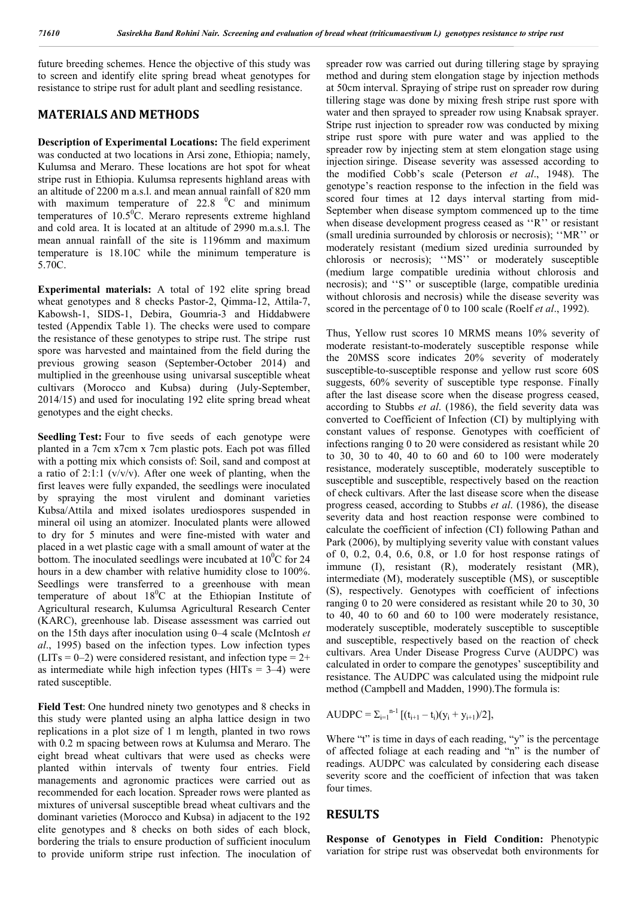future breeding schemes. Hence the objective of this study was to screen and identify elite spring bread wheat genotypes for resistance to stripe rust for adult plant and seedling resistance.

### **MATERIALS AND METHODS**

**Description of Experimental Locations:** The field experiment was conducted at two locations in Arsi zone, Ethiopia; namely, Kulumsa and Meraro. These locations are hot spot for wheat stripe rust in Ethiopia. Kulumsa represents highland areas with an altitude of 2200 m a.s.l. and mean annual rainfall of 820 mm with maximum temperature of  $22.8\text{ }^{\circ}$  C and minimum temperatures of  $10.5\text{°C}$ . Meraro represents extreme highland and cold area. It is located at an altitude of 2990 m.a.s.l. The mean annual rainfall of the site is 1196mm and maximum temperature is 18.10C while the minimum temperature is 5.70C.

**Experimental materials:** A total of 192 elite spring bread wheat genotypes and 8 checks Pastor-2, Qimma-12, Attila-7, Kabowsh-1, SIDS-1, Debira, Goumria-3 and Hiddabwere tested (Appendix Table 1). The checks were used to compare the resistance of these genotypes to stripe rust. The stripe rust spore was harvested and maintained from the field during the previous growing season (September-October 2014) and multiplied in the greenhouse using univarsal susceptible wheat cultivars (Morocco and Kubsa) during (July-September, 2014/15) and used for inoculating 192 elite spring bread wheat genotypes and the eight checks.

**Seedling Test:** Four to five seeds of each genotype were planted in a 7cm x7cm x 7cm plastic pots. Each pot was filled with a potting mix which consists of: Soil, sand and compost at a ratio of  $2:1:1$  (v/v/v). After one week of planting, when the first leaves were fully expanded, the seedlings were inoculated by spraying the most virulent and dominant varieties Kubsa/Attila and mixed isolates urediospores suspended in mineral oil using an atomizer. Inoculated plants were allowed to dry for 5 minutes and were fine-misted with water and placed in a wet plastic cage with a small amount of water at the bottom. The inoculated seedlings were incubated at  $10^{0}$ C for 24 hours in a dew chamber with relative humidity close to 100%. Seedlings were transferred to a greenhouse with mean temperature of about  $18^{\circ}$ C at the Ethiopian Institute of Agricultural research, Kulumsa Agricultural Research Center (KARC), greenhouse lab. Disease assessment was carried out on the 15th days after inoculation using 0–4 scale (McIntosh *et al*., 1995) based on the infection types. Low infection types  $(LITs = 0-2)$  were considered resistant, and infection type = 2+ as intermediate while high infection types  $(HITs = 3-4)$  were rated susceptible.

**Field Test**: One hundred ninety two genotypes and 8 checks in this study were planted using an alpha lattice design in two replications in a plot size of 1 m length, planted in two rows with 0.2 m spacing between rows at Kulumsa and Meraro. The eight bread wheat cultivars that were used as checks were planted within intervals of twenty four entries. Field managements and agronomic practices were carried out as recommended for each location. Spreader rows were planted as mixtures of universal susceptible bread wheat cultivars and the dominant varieties (Morocco and Kubsa) in adjacent to the 192 elite genotypes and 8 checks on both sides of each block, bordering the trials to ensure production of sufficient inoculum to provide uniform stripe rust infection. The inoculation of spreader row was carried out during tillering stage by spraying method and during stem elongation stage by injection methods at 50cm interval. Spraying of stripe rust on spreader row during tillering stage was done by mixing fresh stripe rust spore with water and then sprayed to spreader row using Knabsak sprayer. Stripe rust injection to spreader row was conducted by mixing stripe rust spore with pure water and was applied to the spreader row by injecting stem at stem elongation stage using injection siringe. Disease severity was assessed according to the modified Cobb's scale (Peterson *et al*., 1948). The genotype's reaction response to the infection in the field was scored four times at 12 days interval starting from mid-September when disease symptom commenced up to the time when disease development progress ceased as "R" or resistant (small uredinia surrounded by chlorosis or necrosis); ''MR'' or moderately resistant (medium sized uredinia surrounded by chlorosis or necrosis); ''MS'' or moderately susceptible (medium large compatible uredinia without chlorosis and necrosis); and ''S'' or susceptible (large, compatible uredinia without chlorosis and necrosis) while the disease severity was scored in the percentage of 0 to 100 scale (Roelf *et al*., 1992).

Thus, Yellow rust scores 10 MRMS means 10% severity of moderate resistant-to-moderately susceptible response while the 20MSS score indicates 20% severity of moderately susceptible-to-susceptible response and yellow rust score 60S suggests, 60% severity of susceptible type response. Finally after the last disease score when the disease progress ceased, according to Stubbs *et al*. (1986), the field severity data was converted to Coefficient of Infection (CI) by multiplying with constant values of response. Genotypes with coefficient of infections ranging 0 to 20 were considered as resistant while 20 to 30, 30 to 40, 40 to 60 and 60 to 100 were moderately resistance, moderately susceptible, moderately susceptible to susceptible and susceptible, respectively based on the reaction of check cultivars. After the last disease score when the disease progress ceased, according to Stubbs *et al*. (1986), the disease severity data and host reaction response were combined to calculate the coefficient of infection (CI) following Pathan and Park (2006), by multiplying severity value with constant values of 0, 0.2, 0.4, 0.6, 0.8, or 1.0 for host response ratings of immune (I), resistant (R), moderately resistant (MR), intermediate (M), moderately susceptible (MS), or susceptible (S), respectively. Genotypes with coefficient of infections ranging 0 to 20 were considered as resistant while 20 to 30, 30 to 40, 40 to 60 and 60 to 100 were moderately resistance, moderately susceptible, moderately susceptible to susceptible and susceptible, respectively based on the reaction of check cultivars. Area Under Disease Progress Curve (AUDPC) was calculated in order to compare the genotypes' susceptibility and resistance. The AUDPC was calculated using the midpoint rule method (Campbell and Madden, 1990).The formula is:

AUDPC =  $\Sigma_{i=1}^{n-1}$   $[(t_{i+1} - t_i)(y_i + y_{i+1})/2]$ ,

Where "t" is time in days of each reading, "y" is the percentage of affected foliage at each reading and "n" is the number of readings. AUDPC was calculated by considering each disease severity score and the coefficient of infection that was taken four times.

#### **RESULTS**

**Response of Genotypes in Field Condition:** Phenotypic variation for stripe rust was observedat both environments for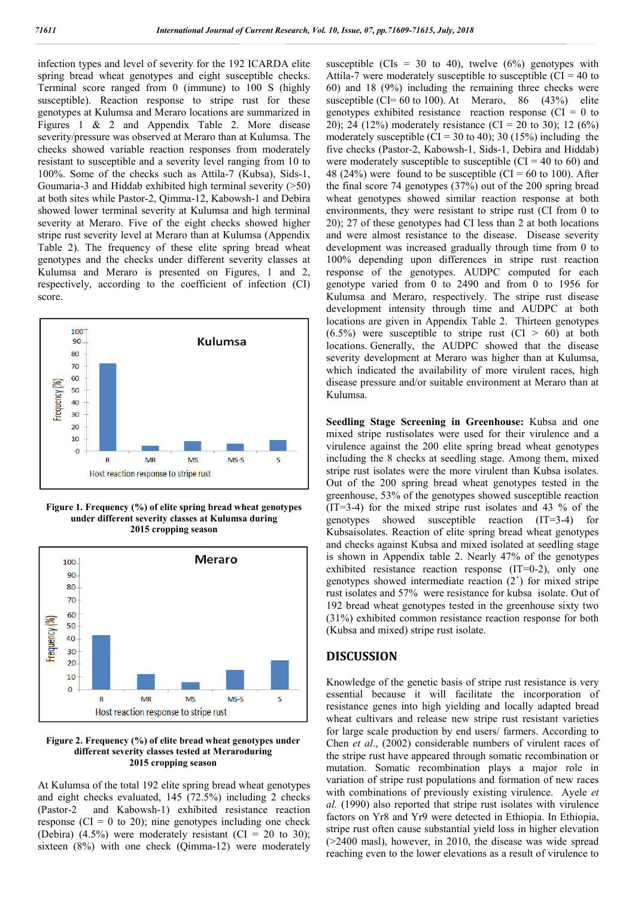infection types and level of severity for the 192 ICARDA elite spring bread wheat genotypes and eight susceptible checks. Terminal score ranged from 0 (immune) to 100 S (highly susceptible). Reaction response to stripe rust for these genotypes at Kulumsa and Meraro locations are summarized in Figures 1 & 2 and Appendix Table 2. More disease severity/pressure was observed at Meraro than at Kulumsa. The checks showed variable reaction responses from moderately resistant to susceptible and a severity level ranging from 10 to 100%. Some of the checks such as Attila-7 (Kubsa), Sids-1, Goumaria-3 and Hiddab exhibited high terminal severity (>50) at both sites while Pastor-2, Qimma-12, Kabowsh-1 and Debira showed lower terminal severity at Kulumsa and high terminal severity at Meraro. Five of the eight checks showed higher stripe rust severity level at Meraro than at Kulumsa (Appendix Table 2). The frequency of these elite spring bread wheat genotypes and the checks under different severity classes at Kulumsa and Meraro is presented on Figures, 1 and 2, respectively, according to the coefficient of infection (CI) score.



**Figure 1. Frequency (%) of elite spring bread wheat genotypes under different severity classes at Kulumsa during 2015 cropping season**



**Figure 2. Frequency (%) of elite bread wheat genotypes under different severity classes tested at Meraroduring 2015 cropping season**

At Kulumsa of the total 192 elite spring bread wheat genotypes and eight checks evaluated, 145 (72.5%) including 2 checks (Pastor-2 and Kabowsh-1) exhibited resistance reaction response ( $CI = 0$  to 20); nine genotypes including one check (Debira) (4.5%) were moderately resistant (CI = 20 to 30); sixteen (8%) with one check (Qimma-12) were moderately

susceptible (CIs = 30 to 40), twelve  $(6%)$  genotypes with Attila-7 were moderately susceptible to susceptible ( $CI = 40$  to 60) and 18 (9%) including the remaining three checks were susceptible (CI=  $60$  to 100). At Meraro,  $86$  (43%) elite genotypes exhibited resistance reaction response ( $CI = 0$  to 20); 24 (12%) moderately resistance (CI = 20 to 30); 12 (6%) moderately susceptible (CI = 30 to 40); 30 (15%) including the five checks (Pastor-2, Kabowsh-1, Sids-1, Debira and Hiddab) were moderately susceptible to susceptible  $(CI = 40 \text{ to } 60)$  and 48 (24%) were found to be susceptible (CI = 60 to 100). After the final score 74 genotypes (37%) out of the 200 spring bread wheat genotypes showed similar reaction response at both environments, they were resistant to stripe rust (CI from 0 to 20); 27 of these genotypes had CI less than 2 at both locations and were almost resistance to the disease. Disease severity development was increased gradually through time from 0 to 100% depending upon differences in stripe rust reaction response of the genotypes. AUDPC computed for each genotype varied from 0 to 2490 and from 0 to 1956 for Kulumsa and Meraro, respectively. The stripe rust disease development intensity through time and AUDPC at both locations are given in Appendix Table 2. Thirteen genotypes  $(6.5\%)$  were susceptible to stripe rust  $(Cl > 60)$  at both locations. Generally, the AUDPC showed that the disease severity development at Meraro was higher than at Kulumsa, which indicated the availability of more virulent races, high disease pressure and/or suitable environment at Meraro than at Kulumsa.

**Seedling Stage Screening in Greenhouse:** Kubsa and one mixed stripe rustisolates were used for their virulence and a virulence against the 200 elite spring bread wheat genotypes including the 8 checks at seedling stage. Among them, mixed stripe rust isolates were the more virulent than Kubsa isolates. Out of the 200 spring bread wheat genotypes tested in the greenhouse, 53% of the genotypes showed susceptible reaction (IT=3-4) for the mixed stripe rust isolates and 43 % of the genotypes showed susceptible reaction (IT=3-4) for Kubsaisolates. Reaction of elite spring bread wheat genotypes and checks against Kubsa and mixed isolated at seedling stage is shown in Appendix table 2. Nearly 47% of the genotypes exhibited resistance reaction response (IT=0-2), only one genotypes showed intermediate reaction  $(2^{+})$  for mixed stripe rust isolates and 57% were resistance for kubsa isolate. Out of 192 bread wheat genotypes tested in the greenhouse sixty two (31%) exhibited common resistance reaction response for both (Kubsa and mixed) stripe rust isolate.

### **DISCUSSION**

Knowledge of the genetic basis of stripe rust resistance is very essential because it will facilitate the incorporation of resistance genes into high yielding and locally adapted bread wheat cultivars and release new stripe rust resistant varieties for large scale production by end users/ farmers. According to Chen *et al*., (2002) considerable numbers of virulent races of the stripe rust have appeared through somatic recombination or mutation. Somatic recombination plays a major role in variation of stripe rust populations and formation of new races with combinations of previously existing virulence. Ayele *et al.* (1990) also reported that stripe rust isolates with virulence factors on Yr8 and Yr9 were detected in Ethiopia. In Ethiopia, stripe rust often cause substantial yield loss in higher elevation (>2400 masl), however, in 2010, the disease was wide spread reaching even to the lower elevations as a result of virulence to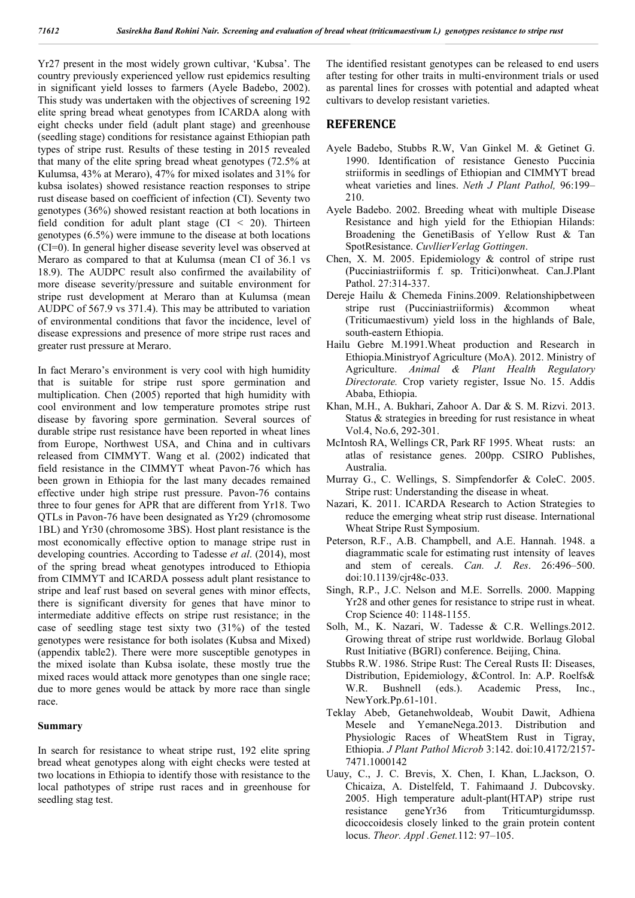Yr27 present in the most widely grown cultivar, 'Kubsa'. The country previously experienced yellow rust epidemics resulting in significant yield losses to farmers (Ayele Badebo, 2002). This study was undertaken with the objectives of screening 192 elite spring bread wheat genotypes from ICARDA along with eight checks under field (adult plant stage) and greenhouse (seedling stage) conditions for resistance against Ethiopian path types of stripe rust. Results of these testing in 2015 revealed that many of the elite spring bread wheat genotypes (72.5% at Kulumsa, 43% at Meraro), 47% for mixed isolates and 31% for kubsa isolates) showed resistance reaction responses to stripe rust disease based on coefficient of infection (CI). Seventy two genotypes (36%) showed resistant reaction at both locations in field condition for adult plant stage  $(CI < 20)$ . Thirteen genotypes (6.5%) were immune to the disease at both locations (CI=0). In general higher disease severity level was observed at Meraro as compared to that at Kulumsa (mean CI of 36.1 vs 18.9). The AUDPC result also confirmed the availability of more disease severity/pressure and suitable environment for stripe rust development at Meraro than at Kulumsa (mean AUDPC of 567.9 vs 371.4). This may be attributed to variation of environmental conditions that favor the incidence, level of disease expressions and presence of more stripe rust races and greater rust pressure at Meraro.

In fact Meraro's environment is very cool with high humidity that is suitable for stripe rust spore germination and multiplication. Chen (2005) reported that high humidity with cool environment and low temperature promotes stripe rust disease by favoring spore germination. Several sources of durable stripe rust resistance have been reported in wheat lines from Europe, Northwest USA, and China and in cultivars released from CIMMYT. Wang et al. (2002) indicated that field resistance in the CIMMYT wheat Pavon-76 which has been grown in Ethiopia for the last many decades remained effective under high stripe rust pressure. Pavon-76 contains three to four genes for APR that are different from Yr18. Two QTLs in Pavon-76 have been designated as Yr29 (chromosome 1BL) and Yr30 (chromosome 3BS). Host plant resistance is the most economically effective option to manage stripe rust in developing countries. According to Tadesse *et al*. (2014), most of the spring bread wheat genotypes introduced to Ethiopia from CIMMYT and ICARDA possess adult plant resistance to stripe and leaf rust based on several genes with minor effects, there is significant diversity for genes that have minor to intermediate additive effects on stripe rust resistance; in the case of seedling stage test sixty two (31%) of the tested genotypes were resistance for both isolates (Kubsa and Mixed) (appendix table2). There were more susceptible genotypes in the mixed isolate than Kubsa isolate, these mostly true the mixed races would attack more genotypes than one single race; due to more genes would be attack by more race than single race.

#### **Summary**

In search for resistance to wheat stripe rust, 192 elite spring bread wheat genotypes along with eight checks were tested at two locations in Ethiopia to identify those with resistance to the local pathotypes of stripe rust races and in greenhouse for seedling stag test.

The identified resistant genotypes can be released to end users after testing for other traits in multi-environment trials or used as parental lines for crosses with potential and adapted wheat cultivars to develop resistant varieties.

#### **REFERENCE**

- Ayele Badebo, Stubbs R.W, Van Ginkel M. & Getinet G. 1990. Identification of resistance Genesto Puccinia striiformis in seedlings of Ethiopian and CIMMYT bread wheat varieties and lines. *Neth J Plant Pathol,* 96:199– 210.
- Ayele Badebo. 2002. Breeding wheat with multiple Disease Resistance and high yield for the Ethiopian Hilands: Broadening the GenetiBasis of Yellow Rust & Tan SpotResistance. *CuvllierVerlag Gottingen*.
- Chen, X. M. 2005. Epidemiology & control of stripe rust (Pucciniastriiformis f. sp. Tritici)onwheat. Can.J.Plant Pathol. 27:314-337.
- Dereje Hailu & Chemeda Finins.2009. Relationshipbetween stripe rust (Pucciniastriiformis) &common wheat (Triticumaestivum) yield loss in the highlands of Bale, south-eastern Ethiopia.
- Hailu Gebre M.1991.Wheat production and Research in Ethiopia.Ministryof Agriculture (MoA). 2012. Ministry of Agriculture. *Animal & Plant Health Regulatory Directorate.* Crop variety register, Issue No. 15. Addis Ababa, Ethiopia.
- Khan, M.H., A. Bukhari, Zahoor A. Dar & S. M. Rizvi. 2013. Status & strategies in breeding for rust resistance in wheat Vol.4, No.6, 292-301.
- McIntosh RA, Wellings CR, Park RF 1995. Wheat rusts: an atlas of resistance genes. 200pp. CSIRO Publishes, Australia.
- Murray G., C. Wellings, S. Simpfendorfer & ColeC. 2005. Stripe rust: Understanding the disease in wheat.
- Nazari, K. 2011. ICARDA Research to Action Strategies to reduce the emerging wheat strip rust disease. International Wheat Stripe Rust Symposium.
- Peterson, R.F., A.B. Champbell, and A.E. Hannah. 1948. a diagrammatic scale for estimating rust intensity of leaves and stem of cereals. *Can. J. Res*. 26:496–500. doi:10.1139/cjr48c-033.
- Singh, R.P., J.C. Nelson and M.E. Sorrells. 2000. Mapping Yr28 and other genes for resistance to stripe rust in wheat. Crop Science 40: 1148-1155.
- Solh, M., K. Nazari, W. Tadesse & C.R. Wellings.2012. Growing threat of stripe rust worldwide. Borlaug Global Rust Initiative (BGRI) conference. Beijing, China.
- Stubbs R.W. 1986. Stripe Rust: The Cereal Rusts II: Diseases, Distribution, Epidemiology, &Control. In: A.P. Roelfs& W.R. Bushnell (eds.). Academic Press, Inc., NewYork.Pp.61-101.
- Teklay Abeb, Getanehwoldeab, Woubit Dawit, Adhiena Mesele and YemaneNega.2013. Distribution and Physiologic Races of WheatStem Rust in Tigray, Ethiopia. *J Plant Pathol Microb* 3:142. doi:10.4172/2157- 7471.1000142
- Uauy, C., J. C. Brevis, X. Chen, I. Khan, L.Jackson, O. Chicaiza, A. Distelfeld, T. Fahimaand J. Dubcovsky. 2005. High temperature adult-plant(HTAP) stripe rust resistance geneYr36 from Triticumturgidumssp. dicoccoidesis closely linked to the grain protein content locus. *Theor. Appl .Genet.*112: 97–105.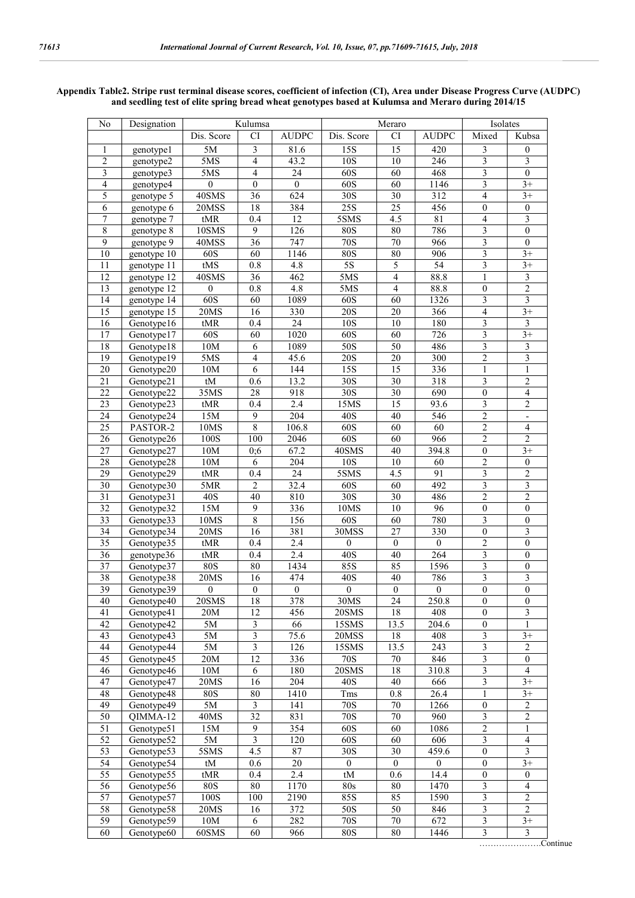| No                      | Designation                  |                  | Kulumsa                 |                  |                  | Meraro         |                    | Isolates<br>Mixed       |                         |
|-------------------------|------------------------------|------------------|-------------------------|------------------|------------------|----------------|--------------------|-------------------------|-------------------------|
|                         |                              | Dis. Score       | <b>CI</b>               | <b>AUDPC</b>     | Dis. Score       | <b>CI</b>      | <b>AUDPC</b>       |                         | Kubsa                   |
| 1                       | genotype1                    | 5M               | 3                       | 81.6             | 15S              | 15             | 420                | 3                       | $\theta$                |
| 2                       | genotype2                    | 5MS              | $\overline{4}$          | 43.2             | 10S              | 10             | 246                | 3                       | 3                       |
| $\overline{\mathbf{3}}$ | genotype3                    | 5MS              | $\overline{4}$          | 24               | 60S              | 60             | 468                | $\overline{\mathbf{3}}$ | $\boldsymbol{0}$        |
| $\overline{4}$          | genotype4                    | $\boldsymbol{0}$ | $\mathbf{0}$            | $\boldsymbol{0}$ | 60S              | 60             | 1146               | 3                       | $3+$                    |
| 5                       | genotype 5                   | 40SMS            | $\overline{36}$         | 624              | 30S              | $30\,$         | 312                | $\overline{4}$          | $3+$                    |
| 6                       | genotype 6                   | 20MSS            | 18                      | 384              | 25S              | 25             | 456                | $\boldsymbol{0}$        | $\boldsymbol{0}$        |
| 7                       | genotype 7                   | tMR              | 0.4                     | 12               | 5SMS             | 4.5            | 81                 | $\overline{4}$          | 3                       |
| $\overline{8}$          | genotype 8                   | 10SMS            | 9                       | 126              | <b>80S</b>       | $80\,$         | 786                | $\mathfrak{Z}$          | $\mathbf{0}$            |
| 9                       | genotype 9                   | 40MSS            | 36                      | 747              | 70S              | 70             | 966                | 3                       | $\mathbf{0}$            |
| 10                      | genotype 10                  | 60S              | 60                      | 1146             | 80S              | 80             | 906                | 3                       | $3+$                    |
| 11                      | genotype 11                  | tMS              | 0.8                     | 4.8              | $5S$             | 5              | 54                 | 3                       | $\overline{3+}$         |
| 12                      | genotype 12                  | 40SMS            | 36                      | 462              | 5MS              | $\overline{4}$ | 88.8               | 1                       | 3                       |
| $\overline{13}$         | genotype 12                  | $\mathbf{0}$     | 0.8                     | 4.8              | 5MS              | $\overline{4}$ | 88.8               | $\boldsymbol{0}$        | $\overline{2}$          |
| 14                      | genotype 14                  | 60S              | 60                      | 1089             | 60S              | 60             | 1326               | 3                       | $\mathfrak{Z}$          |
| 15                      | genotype 15                  | 20MS             | 16                      | 330              | 20S              | 20             | 366                | $\overline{4}$          | $3+$                    |
| 16                      | Genotype16                   | tMR              | 0.4                     | 24               | 10S              | 10             | 180                | $\mathfrak{Z}$          | $\mathfrak{Z}$          |
| 17                      | Genotype17                   | 60S              | 60                      | 1020             | 60S              | 60             | 726                | 3                       | $3+$                    |
| 18                      | Genotype18                   | 10M              | 6                       | 1089             | 50S              | 50             | 486                | $\overline{\mathbf{3}}$ | $\overline{\mathbf{3}}$ |
| 19                      | Genotype19                   | 5MS              | $\overline{4}$          | 45.6             | 20S              | $20\,$         | 300                | $\overline{c}$          | $\mathfrak{Z}$          |
| 20                      | Genotype20                   | 10M              | 6                       | 144              | 15S              | 15             | 336                | 1                       | 1                       |
| 21                      | Genotype21                   | tM               | 0.6                     | 13.2             | 30S              | 30             | 318                | 3                       | $\overline{c}$          |
| 22                      | Genotype22                   | 35MS             | 28                      | 918              | 30S              | 30             | 690                | $\mathbf{0}$            | $\overline{4}$          |
| 23                      | Genotype23                   | tMR              | 0.4                     | 2.4              | 15MS             | 15             | 93.6               | 3                       | $\overline{2}$          |
| 24                      | Genotype24                   | 15M              | 9                       | $\overline{204}$ | 40S              | 40             | 546                | $\overline{2}$          | $\blacksquare$          |
| 25                      | PASTOR-2                     | 10MS             | $\overline{8}$          | 106.8            | 60S              | 60             | 60                 | $\overline{c}$          | $\overline{4}$          |
| 26                      | Genotype26                   | 100S             | 100                     | 2046             | 60S              | 60             | 966                | $\overline{2}$          | $\overline{2}$          |
| 27                      | Genotype27                   | 10M              | 0:6                     | 67.2             | 40SMS            | 40             | 394.8              | $\boldsymbol{0}$        | $3+$                    |
| 28                      | Genotype28                   | 10M              | 6                       | 204              | 10S              | 10             | 60                 | $\overline{2}$          | $\mathbf{0}$            |
| 29                      | Genotype29                   | tMR              | 0.4                     | 24               | 5SMS             | 4.5            | 91                 | $\mathfrak{Z}$          | $\boldsymbol{2}$        |
| 30                      | Genotype30                   | 5MR              | $\overline{2}$          | 32.4             | 60S              | 60             | 492                | 3                       | $\mathfrak{Z}$          |
| 31                      | Genotype31                   | 40S              | 40                      | 810              | 30S              | 30             | 486                | $\overline{2}$          | 2                       |
| 32                      | Genotype32                   | 15M              | 9                       | 336              | 10MS             | 10             | 96                 | $\boldsymbol{0}$        | $\mathbf{0}$            |
| 33                      | Genotype33                   | 10MS             | 8                       | 156              | 60S              | 60             | 780                | 3                       | $\mathbf{0}$            |
| 34                      | Genotype34                   | 20MS             | 16                      | 381              | 30MSS            | 27             | 330                | $\boldsymbol{0}$        | $\mathfrak{Z}$          |
| 35                      | Genotype35                   | $tMR$            | 0.4                     | 2.4              | $\mathbf{0}$     | $\mathbf{0}$   | $\overline{0}$     | $\overline{c}$          | $\mathbf{0}$            |
| 36                      | genotype36                   | tMR              | 0.4                     | 2.4              | 40S              | 40             | 264                | 3                       | $\mathbf{0}$            |
| 37                      | Genotype37                   | <b>80S</b>       | 80                      | 1434             | 85S              | 85             | 1596               | $\mathfrak{Z}$          | $\boldsymbol{0}$        |
| 38                      | Genotype38                   | 20MS             | 16                      | 474              | 40S              | 40             | 786                | 3                       | 3                       |
| $\overline{39}$         | Genotype39                   | $\mathbf{0}$     | $\boldsymbol{0}$        | $\overline{0}$   | $\mathbf{0}$     | $\overline{0}$ | $\boldsymbol{0}$   | $\boldsymbol{0}$        | $\overline{0}$          |
| 40                      | Genotype40                   | 20SMS            | 18                      | 378              | 30MS             | 24             | $\overline{2}50.8$ | $\mathbf{0}$            | $\mathbf{0}$            |
| 41                      | Genotype41                   | 20M              | 12                      | 456              | 20SMS            | 18             | 408                | $\boldsymbol{0}$        | 3                       |
| 42                      | Genotype42                   | 5M               | $\mathfrak{Z}$          | 66               | 15SMS            | 13.5           | 204.6              | $\boldsymbol{0}$        | 1                       |
| $\overline{43}$         | Genotype43                   | 5M               | $\overline{\mathbf{3}}$ | 75.6             | 20MSS            | 18             | 408                | 3                       | $3+$                    |
| 44                      | Genotype44                   | 5M               | $\overline{\mathbf{3}}$ | 126              | 15SMS            | 13.5           | 243                | $\mathfrak{Z}$          | $\overline{2}$          |
| $\overline{45}$         | Genotype45                   | 20M              | $\overline{12}$         | 336              | $\overline{70S}$ | $70\,$         | 846                | $\overline{\mathbf{3}}$ | $\boldsymbol{0}$        |
| 46                      | Genotype46                   | $10M$            | 6                       | 180              | 20SMS            | $18\,$         | 310.8              | 3                       | $\overline{4}$          |
| $\overline{47}$         | Genotype47                   | 20MS             | 16                      | 204              | 40S              | 40             | 666                | $\overline{\mathbf{3}}$ | $3+$                    |
| 48                      |                              | <b>80S</b>       | 80                      | 1410             | Tms              | $0.8\,$        | 26.4               |                         | $3+$                    |
| 49                      | Genotype48                   |                  | $\overline{\mathbf{3}}$ |                  |                  |                |                    | 1                       | $\overline{2}$          |
|                         | Genotype49                   | 5M               |                         | 141              | 70S              | 70             | 1266               | $\mathbf{0}$            |                         |
| 50                      | $\overline{\text{QIMMA-12}}$ | 40MS             | 32                      | 831              | <b>70S</b>       | $70\,$         | 960                | $\mathfrak{Z}$          | $\overline{2}$          |
| 51                      | Genotype51                   | 15M              | 9                       | 354              | 60S              | 60             | 1086               | $\sqrt{2}$              | 1                       |
| 52                      | Genotype52                   | 5M               | $\overline{\mathbf{3}}$ | 120              | 60S              | 60             | 606                | $\mathfrak{Z}$          | $\overline{4}$          |
| 53                      | Genotype53                   | 5SMS             | 4.5                     | 87               | 30S              | 30             | 459.6              | $\boldsymbol{0}$        | 3                       |
| 54                      | Genotype54                   | tM               | 0.6                     | 20               | $\overline{0}$   | $\overline{0}$ | $\overline{0}$     | $\boldsymbol{0}$        | $3+$                    |
| 55                      | Genotype55                   | tMR              | 0.4                     | 2.4              | tM               | 0.6            | 14.4               | $\boldsymbol{0}$        | $\boldsymbol{0}$        |
| 56                      | Genotype56                   | <b>80S</b>       | 80                      | 1170             | 80s              | 80             | 1470               | $\mathfrak{Z}$          | $\overline{4}$          |
| 57                      | Genotype57                   | 100S             | 100                     | 2190             | 85S              | 85             | 1590               | 3                       | 2                       |
| 58                      | Genotype58                   | 20MS             | 16                      | 372              | 50S              | 50             | 846                | $\mathfrak{Z}$          | $\overline{2}$          |
| 59                      | Genotype59                   | $10M$            | 6                       | 282              | 70S              | 70             | 672                | 3                       | $3+$                    |
| 60                      | Genotype60                   | 60SMS            | 60                      | 966              | 80S              | 80             | 1446               | $\overline{3}$          | $\overline{\mathbf{3}}$ |

#### **Appendix Table2. Stripe rust terminal disease scores, coefficient of infection (CI), Area under Disease Progress Curve (AUDPC) and seedling test of elite spring bread wheat genotypes based at Kulumsa and Meraro during 2014/15**

………………….Continue

 $\overline{\phantom{a}}$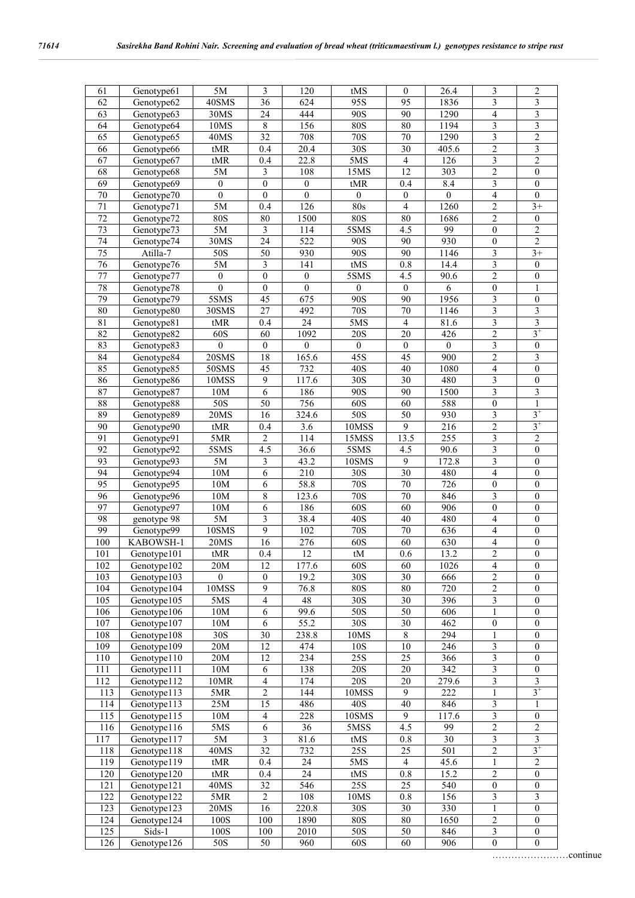| 3<br>61<br>Genotype61<br>36<br>95<br>$\mathfrak{Z}$<br>62<br>40SMS<br>624<br>95S<br>1836<br>$\mathfrak{Z}$<br>Genotype62<br>90S<br>1290<br>3<br>63<br>Genotype63<br>24<br>444<br>90<br>30MS<br>$\overline{4}$<br>3<br>156<br><b>80S</b><br>80<br>3<br>64<br>10MS<br>8<br>1194<br>Genotype64<br>$\overline{\mathbf{3}}$<br>$\overline{c}$<br>65<br>32<br>708<br><b>70S</b><br>1290<br>40MS<br>70<br>Genotype65<br>$\overline{c}$<br>20.4<br>30S<br>30<br>405.6<br>3<br>66<br>Genotype66<br>tMR<br>0.4<br>67<br>Genotype67<br>tMR<br>22.8<br>5MS<br>126<br>$\overline{2}$<br>0.4<br>$\overline{4}$<br>3<br>$\overline{c}$<br>68<br>12<br>$\boldsymbol{0}$<br>Genotype68<br>$5M$<br>3<br>108<br>15MS<br>303<br>$\overline{\mathbf{3}}$<br>69<br>8.4<br>$\boldsymbol{0}$<br>Genotype <sup>69</sup><br>$\mathbf{0}$<br>$\boldsymbol{0}$<br>$\mathbf{0}$<br>tMR<br>0.4<br>$\overline{0}$<br>$\overline{0}$<br>$\overline{4}$<br>$\overline{0}$<br>70<br>$\boldsymbol{0}$<br>$\boldsymbol{0}$<br>$\boldsymbol{0}$<br>Genotype70<br>$\mathbf{0}$<br>5M<br>$\overline{126}$<br>80s<br>1260<br>$\overline{2}$<br>71<br>Genotype71<br>0.4<br>$\overline{4}$<br>$3+$<br>72<br>Genotype72<br><b>80S</b><br>1500<br><b>80S</b><br>80<br>1686<br>$\overline{c}$<br>80<br>$\boldsymbol{0}$<br>99<br>$\overline{2}$<br>73<br>Genotype73<br>$5\mathrm{M}$<br>$\mathfrak{Z}$<br>114<br>5SMS<br>4.5<br>$\boldsymbol{0}$<br>$\overline{2}$<br>74<br>$\overline{24}$<br>30MS<br>522<br>$\overline{90S}$<br>90<br>930<br>Genotype74<br>$\mathbf{0}$<br>$\overline{75}$<br>$\overline{50S}$<br>930<br>$\overline{90S}$<br>90<br>3<br>$\overline{3+}$<br>Atilla-7<br>50<br>1146<br>$\overline{\mathbf{3}}$<br>76<br>5M<br>$\overline{\mathbf{3}}$<br>141<br>tMS<br>$\overline{0.8}$<br>14.4<br>$\overline{0}$<br>Genotype76<br>$\overline{c}$<br>77<br>$\boldsymbol{0}$<br>5SMS<br>4.5<br>90.6<br>Genotype77<br>$\boldsymbol{0}$<br>$\boldsymbol{0}$<br>$\boldsymbol{0}$<br>78<br>$\overline{0}$<br>$\overline{0}$<br>$\overline{0}$<br>$\overline{6}$<br>Genotype78<br>$\boldsymbol{0}$<br>$\boldsymbol{0}$<br>$\boldsymbol{0}$<br>$\mathbf{1}$<br>79<br>$\overline{45}$<br>3<br>5SMS<br>675<br>90S<br>90<br>1956<br>$\boldsymbol{0}$<br>Genotype79<br>$\overline{\mathbf{3}}$<br>30SMS<br>492<br><b>70S</b><br>3<br>$80\,$<br>Genotype80<br>27<br>70<br>1146<br>$\overline{\mathbf{3}}$<br>$\overline{\mathbf{3}}$<br>$\overline{24}$<br>81.6<br>81<br>5MS<br>$\overline{4}$<br>Genotype81<br>tMR<br>0.4<br>$3^+$<br>60S<br><b>20S</b><br>$\overline{2}$<br>82<br>Genotype82<br>60<br>1092<br>20<br>426<br>$\mathfrak{Z}$<br>83<br>Genotype83<br>$\boldsymbol{0}$<br>$\boldsymbol{0}$<br>$\boldsymbol{0}$<br>$\boldsymbol{0}$<br>$\boldsymbol{0}$<br>$\boldsymbol{0}$<br>$\boldsymbol{0}$<br>84<br>20SMS<br>18<br>165.6<br>$\overline{45S}$<br>$\overline{45}$<br>900<br>$\mathbf{2}$<br>Genotype84<br>3<br>85<br>732<br>40S<br>$\overline{4}$<br>$\boldsymbol{0}$<br>Genotype85<br>50SMS<br>45<br>40<br>1080<br>$\overline{\mathbf{3}}$<br>86<br>10MSS<br>117.6<br>$\overline{30S}$<br>$\overline{30}$<br>480<br>$\overline{9}$<br>$\boldsymbol{0}$<br>Genotype86<br>$\overline{\mathbf{3}}$<br>$\overline{\mathbf{3}}$<br>87<br>186<br>$\overline{90S}$<br>$\overline{90}$<br>1500<br>Genotype87<br>10M<br>6<br>88<br>Genotype88<br>50S<br>756<br>60S<br>60<br>588<br>50<br>$\boldsymbol{0}$<br>1<br>$3^+$<br>89<br>$\overline{50S}$<br>50<br>930<br>3<br>Genotype89<br><b>20MS</b><br>16<br>324.6<br>$3^+$<br>$\overline{2}$<br>9<br>90<br>Genotype90<br>tMR<br>0.4<br>3.6<br>10MSS<br>216<br>$\overline{\mathbf{3}}$<br>$\overline{2}$<br>$\overline{2}$<br>255<br>91<br>5MR<br>114<br>15MSS<br>13.5<br>Genotype91<br>$\overline{92}$<br>5SMS<br>90.6<br>3<br>Genotype92<br>4.5<br>36.6<br>5SMS<br>4.5<br>$\boldsymbol{0}$<br>172.8<br>93<br>Genotype93<br>$5\mathrm{M}$<br>43.2<br>10SMS<br>9<br>3<br>3<br>$\mathbf{0}$<br>$\overline{6}$<br>94<br>30<br>$\overline{4}$<br>$\overline{G}$ enotype94<br>10M<br>210<br>30S<br>480<br>$\boldsymbol{0}$<br>$\overline{95}$<br>$\overline{6}$<br>58.8<br>$\overline{70S}$<br>70<br>726<br>$\boldsymbol{0}$<br>Genotype95<br>10M<br>$\boldsymbol{0}$<br>$\overline{\mathbf{3}}$<br>$\,$ $\,$<br>$\overline{70}$<br>96<br>123.6<br><b>70S</b><br>846<br>$\boldsymbol{0}$<br>Genotype96<br>10M<br>97<br>10M<br>186<br>60S<br>60<br>906<br>$\boldsymbol{0}$<br>Genotype97<br>6<br>$\boldsymbol{0}$<br>$5\mathrm{M}$<br>98<br>genotype 98<br>3<br>38.4<br>40S<br>40<br>480<br>4<br>0<br>$\mathbf{9}$<br>99<br>10SMS<br>102<br>70S<br>70<br>636<br>$\boldsymbol{0}$<br>Genotype99<br>$\overline{\mathcal{A}}$<br>100<br>276<br>60S<br>KABOWSH-1<br><b>20MS</b><br>16<br>60<br>630<br>$\boldsymbol{0}$<br>$\overline{4}$<br>$\overline{12}$<br>$\overline{2}$<br>$\boldsymbol{0}$<br>101<br>${\rm tMR}$<br>0.4<br>tM<br>0.6<br>13.2<br>Genotype101<br>60S<br>1026<br>102<br>Genotype102<br>20M<br>12<br>60<br>$\overline{4}$<br>177.6<br>$\boldsymbol{0}$<br>30S<br>$\overline{c}$<br>103<br>Genotype103<br>$\mathbf{0}$<br>$\boldsymbol{0}$<br>19.2<br>30<br>666<br>$\mathbf{0}$<br>720<br>Genotype104<br>9<br><b>80S</b><br>$80\,$<br>2<br>104<br>10MSS<br>76.8<br>$\mathbf{0}$<br>48<br>$\overline{30S}$<br>105<br>Genotype105<br>5MS<br>$\overline{4}$<br>30<br>396<br>3<br>$\overline{0}$<br>99.6<br>50S<br>50<br>606<br>$\mathbf{1}$<br>$\mathbf{0}$<br>106<br>Genotype106<br>10M<br>6<br>$\overline{30S}$<br>107<br>Genotype107<br>$10M$<br>6<br>55.2<br>30<br>462<br>$\boldsymbol{0}$<br>$\boldsymbol{0}$<br>$\overline{30S}$<br>294<br>108<br>Genotype108<br>30<br>238.8<br>10MS<br>$\,8\,$<br>$\mathbf{1}$<br>$\boldsymbol{0}$<br>109<br>Genotype109<br>$20M$<br>12<br>474<br>10S<br>10<br>246<br>3<br>$\boldsymbol{0}$<br>$\overline{25S}$<br>$\mathfrak{Z}$<br>110<br>Genotype110<br>20M<br>12<br>234<br>25<br>366<br>$\boldsymbol{0}$<br>3<br>Genotype111<br>10M<br>138<br>20S<br>20<br>342<br>111<br>6<br>0<br><b>20S</b><br>$\mathfrak{Z}$<br>112<br>Genotype112<br><b>10MR</b><br>$\overline{\mathbf{4}}$<br>174<br>20<br>279.6<br>$\mathfrak{Z}$<br>$3^+$<br>$\overline{c}$<br>9<br>222<br>113<br>Genotype113<br>5MR<br>144<br>10MSS<br>$\mathbf{1}$<br>114<br>$25M$<br>Genotype113<br>15<br>486<br>40S<br>40<br>846<br>3<br>1<br>$\mathfrak{Z}$<br>115<br>Genotype115<br>$10M$<br>$\overline{4}$<br>228<br>10SMS<br>9<br>117.6<br>$\boldsymbol{0}$<br>$\overline{c}$<br>$\overline{c}$<br>116<br>Genotype116<br>5MS<br>6<br>36<br>5MSS<br>4.5<br>99<br>$\overline{\mathbf{3}}$<br>3<br>$\overline{\mathbf{3}}$<br>117<br>0.8<br>30<br>$5\mathrm{M}$<br>81.6<br>tMS<br>Genotype117<br>$3^+$<br>$\overline{c}$<br>118<br>Genotype118<br>40MS<br>32<br>732<br>25S<br>25<br>501<br>119<br>2<br>Genotype119<br>tMR<br>24<br>5MS<br>45.6<br>0.4<br>4<br>1<br>120<br>Genotype120<br>24<br>15.2<br>$\boldsymbol{2}$<br>tMR<br>$0.8\,$<br>$\boldsymbol{0}$<br>0.4<br>tMS<br>$\overline{25S}$<br>25<br>121<br>Genotype121<br>40MS<br>32<br>546<br>540<br>$\mathbf{0}$<br>$\mathbf{0}$<br>122<br>Genotype122<br>5MR<br>$\overline{2}$<br>108<br>10MS<br>$0.8\,$<br>156<br>3<br>3<br>$\overline{123}$<br>20MS<br>220.8<br>$\overline{30S}$<br>$\overline{30}$<br>330<br>$\mathbf{1}$<br>$\overline{0}$<br>Genotype123<br>16<br>124<br>Genotype <sup>124</sup><br>100S<br>1890<br><b>80S</b><br>1650<br>100<br>80<br>2<br>$\boldsymbol{0}$<br>125<br>Sids-1<br>100S<br>2010<br>50S<br>50<br>846<br>$\mathfrak{Z}$<br>100<br>$\boldsymbol{0}$ |     |             | 5M  | 3  | 120 | tMS | $\mathbf{0}$ | 26.4 |                  | 2                |
|---------------------------------------------------------------------------------------------------------------------------------------------------------------------------------------------------------------------------------------------------------------------------------------------------------------------------------------------------------------------------------------------------------------------------------------------------------------------------------------------------------------------------------------------------------------------------------------------------------------------------------------------------------------------------------------------------------------------------------------------------------------------------------------------------------------------------------------------------------------------------------------------------------------------------------------------------------------------------------------------------------------------------------------------------------------------------------------------------------------------------------------------------------------------------------------------------------------------------------------------------------------------------------------------------------------------------------------------------------------------------------------------------------------------------------------------------------------------------------------------------------------------------------------------------------------------------------------------------------------------------------------------------------------------------------------------------------------------------------------------------------------------------------------------------------------------------------------------------------------------------------------------------------------------------------------------------------------------------------------------------------------------------------------------------------------------------------------------------------------------------------------------------------------------------------------------------------------------------------------------------------------------------------------------------------------------------------------------------------------------------------------------------------------------------------------------------------------------------------------------------------------------------------------------------------------------------------------------------------------------------------------------------------------------------------------------------------------------------------------------------------------------------------------------------------------------------------------------------------------------------------------------------------------------------------------------------------------------------------------------------------------------------------------------------------------------------------------------------------------------------------------------------------------------------------------------------------------------------------------------------------------------------------------------------------------------------------------------------------------------------------------------------------------------------------------------------------------------------------------------------------------------------------------------------------------------------------------------------------------------------------------------------------------------------------------------------------------------------------------------------------------------------------------------------------------------------------------------------------------------------------------------------------------------------------------------------------------------------------------------------------------------------------------------------------------------------------------------------------------------------------------------------------------------------------------------------------------------------------------------------------------------------------------------------------------------------------------------------------------------------------------------------------------------------------------------------------------------------------------------------------------------------------------------------------------------------------------------------------------------------------------------------------------------------------------------------------------------------------------------------------------------------------------------------------------------------------------------------------------------------------------------------------------------------------------------------------------------------------------------------------------------------------------------------------------------------------------------------------------------------------------------------------------------------------------------------------------------------------------------------------------------------------------------------------------------------------------------------------------------------------------------------------------------------------------------------------------------------------------------------------------------------------------------------------------------------------------------------------------------------------------------------------------------------------------------------------------------------------------------------------------------------------------------------------------------------------------------------------------------------------------------------------------------------------------------------------------------------------------------------------------------------------------------------------------------------------------------------------------------------------------------------------------------------------------------------------------------------------------------------------------------------------------------------------------------------------------------------------------------------------------------------------------------------------------------------------------------------------------------------------------------------------------------------------------------------------------------------------------------------------------------------------------------------------------------------------------------------------------------------------------------------------------------------------------------------------------------------------------------------------------------------------------------------------------------------------------------------------------------------------------------------------------------------------------------------------------------------------------------------------------------------------------------------------------------------------------------------------------------------------------------------------------------------------------------------------------------------------------------------------------------------------------------------------------------------------------------|-----|-------------|-----|----|-----|-----|--------------|------|------------------|------------------|
|                                                                                                                                                                                                                                                                                                                                                                                                                                                                                                                                                                                                                                                                                                                                                                                                                                                                                                                                                                                                                                                                                                                                                                                                                                                                                                                                                                                                                                                                                                                                                                                                                                                                                                                                                                                                                                                                                                                                                                                                                                                                                                                                                                                                                                                                                                                                                                                                                                                                                                                                                                                                                                                                                                                                                                                                                                                                                                                                                                                                                                                                                                                                                                                                                                                                                                                                                                                                                                                                                                                                                                                                                                                                                                                                                                                                                                                                                                                                                                                                                                                                                                                                                                                                                                                                                                                                                                                                                                                                                                                                                                                                                                                                                                                                                                                                                                                                                                                                                                                                                                                                                                                                                                                                                                                                                                                                                                                                                                                                                                                                                                                                                                                                                                                                                                                                                                                                                                                                                                                                                                                                                                                                                                                                                                                                                                                                                                                                                                                                                                                                                                                                                                                                                                                                                                                                                                                                                                                                                                                                                                                                                                                                                                                                                                                                                                                                                                                                                                                                     |     |             |     |    |     |     |              |      |                  |                  |
|                                                                                                                                                                                                                                                                                                                                                                                                                                                                                                                                                                                                                                                                                                                                                                                                                                                                                                                                                                                                                                                                                                                                                                                                                                                                                                                                                                                                                                                                                                                                                                                                                                                                                                                                                                                                                                                                                                                                                                                                                                                                                                                                                                                                                                                                                                                                                                                                                                                                                                                                                                                                                                                                                                                                                                                                                                                                                                                                                                                                                                                                                                                                                                                                                                                                                                                                                                                                                                                                                                                                                                                                                                                                                                                                                                                                                                                                                                                                                                                                                                                                                                                                                                                                                                                                                                                                                                                                                                                                                                                                                                                                                                                                                                                                                                                                                                                                                                                                                                                                                                                                                                                                                                                                                                                                                                                                                                                                                                                                                                                                                                                                                                                                                                                                                                                                                                                                                                                                                                                                                                                                                                                                                                                                                                                                                                                                                                                                                                                                                                                                                                                                                                                                                                                                                                                                                                                                                                                                                                                                                                                                                                                                                                                                                                                                                                                                                                                                                                                                     |     |             |     |    |     |     |              |      |                  |                  |
|                                                                                                                                                                                                                                                                                                                                                                                                                                                                                                                                                                                                                                                                                                                                                                                                                                                                                                                                                                                                                                                                                                                                                                                                                                                                                                                                                                                                                                                                                                                                                                                                                                                                                                                                                                                                                                                                                                                                                                                                                                                                                                                                                                                                                                                                                                                                                                                                                                                                                                                                                                                                                                                                                                                                                                                                                                                                                                                                                                                                                                                                                                                                                                                                                                                                                                                                                                                                                                                                                                                                                                                                                                                                                                                                                                                                                                                                                                                                                                                                                                                                                                                                                                                                                                                                                                                                                                                                                                                                                                                                                                                                                                                                                                                                                                                                                                                                                                                                                                                                                                                                                                                                                                                                                                                                                                                                                                                                                                                                                                                                                                                                                                                                                                                                                                                                                                                                                                                                                                                                                                                                                                                                                                                                                                                                                                                                                                                                                                                                                                                                                                                                                                                                                                                                                                                                                                                                                                                                                                                                                                                                                                                                                                                                                                                                                                                                                                                                                                                                     |     |             |     |    |     |     |              |      |                  |                  |
|                                                                                                                                                                                                                                                                                                                                                                                                                                                                                                                                                                                                                                                                                                                                                                                                                                                                                                                                                                                                                                                                                                                                                                                                                                                                                                                                                                                                                                                                                                                                                                                                                                                                                                                                                                                                                                                                                                                                                                                                                                                                                                                                                                                                                                                                                                                                                                                                                                                                                                                                                                                                                                                                                                                                                                                                                                                                                                                                                                                                                                                                                                                                                                                                                                                                                                                                                                                                                                                                                                                                                                                                                                                                                                                                                                                                                                                                                                                                                                                                                                                                                                                                                                                                                                                                                                                                                                                                                                                                                                                                                                                                                                                                                                                                                                                                                                                                                                                                                                                                                                                                                                                                                                                                                                                                                                                                                                                                                                                                                                                                                                                                                                                                                                                                                                                                                                                                                                                                                                                                                                                                                                                                                                                                                                                                                                                                                                                                                                                                                                                                                                                                                                                                                                                                                                                                                                                                                                                                                                                                                                                                                                                                                                                                                                                                                                                                                                                                                                                                     |     |             |     |    |     |     |              |      |                  |                  |
|                                                                                                                                                                                                                                                                                                                                                                                                                                                                                                                                                                                                                                                                                                                                                                                                                                                                                                                                                                                                                                                                                                                                                                                                                                                                                                                                                                                                                                                                                                                                                                                                                                                                                                                                                                                                                                                                                                                                                                                                                                                                                                                                                                                                                                                                                                                                                                                                                                                                                                                                                                                                                                                                                                                                                                                                                                                                                                                                                                                                                                                                                                                                                                                                                                                                                                                                                                                                                                                                                                                                                                                                                                                                                                                                                                                                                                                                                                                                                                                                                                                                                                                                                                                                                                                                                                                                                                                                                                                                                                                                                                                                                                                                                                                                                                                                                                                                                                                                                                                                                                                                                                                                                                                                                                                                                                                                                                                                                                                                                                                                                                                                                                                                                                                                                                                                                                                                                                                                                                                                                                                                                                                                                                                                                                                                                                                                                                                                                                                                                                                                                                                                                                                                                                                                                                                                                                                                                                                                                                                                                                                                                                                                                                                                                                                                                                                                                                                                                                                                     |     |             |     |    |     |     |              |      |                  |                  |
|                                                                                                                                                                                                                                                                                                                                                                                                                                                                                                                                                                                                                                                                                                                                                                                                                                                                                                                                                                                                                                                                                                                                                                                                                                                                                                                                                                                                                                                                                                                                                                                                                                                                                                                                                                                                                                                                                                                                                                                                                                                                                                                                                                                                                                                                                                                                                                                                                                                                                                                                                                                                                                                                                                                                                                                                                                                                                                                                                                                                                                                                                                                                                                                                                                                                                                                                                                                                                                                                                                                                                                                                                                                                                                                                                                                                                                                                                                                                                                                                                                                                                                                                                                                                                                                                                                                                                                                                                                                                                                                                                                                                                                                                                                                                                                                                                                                                                                                                                                                                                                                                                                                                                                                                                                                                                                                                                                                                                                                                                                                                                                                                                                                                                                                                                                                                                                                                                                                                                                                                                                                                                                                                                                                                                                                                                                                                                                                                                                                                                                                                                                                                                                                                                                                                                                                                                                                                                                                                                                                                                                                                                                                                                                                                                                                                                                                                                                                                                                                                     |     |             |     |    |     |     |              |      |                  |                  |
|                                                                                                                                                                                                                                                                                                                                                                                                                                                                                                                                                                                                                                                                                                                                                                                                                                                                                                                                                                                                                                                                                                                                                                                                                                                                                                                                                                                                                                                                                                                                                                                                                                                                                                                                                                                                                                                                                                                                                                                                                                                                                                                                                                                                                                                                                                                                                                                                                                                                                                                                                                                                                                                                                                                                                                                                                                                                                                                                                                                                                                                                                                                                                                                                                                                                                                                                                                                                                                                                                                                                                                                                                                                                                                                                                                                                                                                                                                                                                                                                                                                                                                                                                                                                                                                                                                                                                                                                                                                                                                                                                                                                                                                                                                                                                                                                                                                                                                                                                                                                                                                                                                                                                                                                                                                                                                                                                                                                                                                                                                                                                                                                                                                                                                                                                                                                                                                                                                                                                                                                                                                                                                                                                                                                                                                                                                                                                                                                                                                                                                                                                                                                                                                                                                                                                                                                                                                                                                                                                                                                                                                                                                                                                                                                                                                                                                                                                                                                                                                                     |     |             |     |    |     |     |              |      |                  |                  |
|                                                                                                                                                                                                                                                                                                                                                                                                                                                                                                                                                                                                                                                                                                                                                                                                                                                                                                                                                                                                                                                                                                                                                                                                                                                                                                                                                                                                                                                                                                                                                                                                                                                                                                                                                                                                                                                                                                                                                                                                                                                                                                                                                                                                                                                                                                                                                                                                                                                                                                                                                                                                                                                                                                                                                                                                                                                                                                                                                                                                                                                                                                                                                                                                                                                                                                                                                                                                                                                                                                                                                                                                                                                                                                                                                                                                                                                                                                                                                                                                                                                                                                                                                                                                                                                                                                                                                                                                                                                                                                                                                                                                                                                                                                                                                                                                                                                                                                                                                                                                                                                                                                                                                                                                                                                                                                                                                                                                                                                                                                                                                                                                                                                                                                                                                                                                                                                                                                                                                                                                                                                                                                                                                                                                                                                                                                                                                                                                                                                                                                                                                                                                                                                                                                                                                                                                                                                                                                                                                                                                                                                                                                                                                                                                                                                                                                                                                                                                                                                                     |     |             |     |    |     |     |              |      |                  |                  |
|                                                                                                                                                                                                                                                                                                                                                                                                                                                                                                                                                                                                                                                                                                                                                                                                                                                                                                                                                                                                                                                                                                                                                                                                                                                                                                                                                                                                                                                                                                                                                                                                                                                                                                                                                                                                                                                                                                                                                                                                                                                                                                                                                                                                                                                                                                                                                                                                                                                                                                                                                                                                                                                                                                                                                                                                                                                                                                                                                                                                                                                                                                                                                                                                                                                                                                                                                                                                                                                                                                                                                                                                                                                                                                                                                                                                                                                                                                                                                                                                                                                                                                                                                                                                                                                                                                                                                                                                                                                                                                                                                                                                                                                                                                                                                                                                                                                                                                                                                                                                                                                                                                                                                                                                                                                                                                                                                                                                                                                                                                                                                                                                                                                                                                                                                                                                                                                                                                                                                                                                                                                                                                                                                                                                                                                                                                                                                                                                                                                                                                                                                                                                                                                                                                                                                                                                                                                                                                                                                                                                                                                                                                                                                                                                                                                                                                                                                                                                                                                                     |     |             |     |    |     |     |              |      |                  |                  |
|                                                                                                                                                                                                                                                                                                                                                                                                                                                                                                                                                                                                                                                                                                                                                                                                                                                                                                                                                                                                                                                                                                                                                                                                                                                                                                                                                                                                                                                                                                                                                                                                                                                                                                                                                                                                                                                                                                                                                                                                                                                                                                                                                                                                                                                                                                                                                                                                                                                                                                                                                                                                                                                                                                                                                                                                                                                                                                                                                                                                                                                                                                                                                                                                                                                                                                                                                                                                                                                                                                                                                                                                                                                                                                                                                                                                                                                                                                                                                                                                                                                                                                                                                                                                                                                                                                                                                                                                                                                                                                                                                                                                                                                                                                                                                                                                                                                                                                                                                                                                                                                                                                                                                                                                                                                                                                                                                                                                                                                                                                                                                                                                                                                                                                                                                                                                                                                                                                                                                                                                                                                                                                                                                                                                                                                                                                                                                                                                                                                                                                                                                                                                                                                                                                                                                                                                                                                                                                                                                                                                                                                                                                                                                                                                                                                                                                                                                                                                                                                                     |     |             |     |    |     |     |              |      |                  |                  |
|                                                                                                                                                                                                                                                                                                                                                                                                                                                                                                                                                                                                                                                                                                                                                                                                                                                                                                                                                                                                                                                                                                                                                                                                                                                                                                                                                                                                                                                                                                                                                                                                                                                                                                                                                                                                                                                                                                                                                                                                                                                                                                                                                                                                                                                                                                                                                                                                                                                                                                                                                                                                                                                                                                                                                                                                                                                                                                                                                                                                                                                                                                                                                                                                                                                                                                                                                                                                                                                                                                                                                                                                                                                                                                                                                                                                                                                                                                                                                                                                                                                                                                                                                                                                                                                                                                                                                                                                                                                                                                                                                                                                                                                                                                                                                                                                                                                                                                                                                                                                                                                                                                                                                                                                                                                                                                                                                                                                                                                                                                                                                                                                                                                                                                                                                                                                                                                                                                                                                                                                                                                                                                                                                                                                                                                                                                                                                                                                                                                                                                                                                                                                                                                                                                                                                                                                                                                                                                                                                                                                                                                                                                                                                                                                                                                                                                                                                                                                                                                                     |     |             |     |    |     |     |              |      |                  |                  |
|                                                                                                                                                                                                                                                                                                                                                                                                                                                                                                                                                                                                                                                                                                                                                                                                                                                                                                                                                                                                                                                                                                                                                                                                                                                                                                                                                                                                                                                                                                                                                                                                                                                                                                                                                                                                                                                                                                                                                                                                                                                                                                                                                                                                                                                                                                                                                                                                                                                                                                                                                                                                                                                                                                                                                                                                                                                                                                                                                                                                                                                                                                                                                                                                                                                                                                                                                                                                                                                                                                                                                                                                                                                                                                                                                                                                                                                                                                                                                                                                                                                                                                                                                                                                                                                                                                                                                                                                                                                                                                                                                                                                                                                                                                                                                                                                                                                                                                                                                                                                                                                                                                                                                                                                                                                                                                                                                                                                                                                                                                                                                                                                                                                                                                                                                                                                                                                                                                                                                                                                                                                                                                                                                                                                                                                                                                                                                                                                                                                                                                                                                                                                                                                                                                                                                                                                                                                                                                                                                                                                                                                                                                                                                                                                                                                                                                                                                                                                                                                                     |     |             |     |    |     |     |              |      |                  |                  |
|                                                                                                                                                                                                                                                                                                                                                                                                                                                                                                                                                                                                                                                                                                                                                                                                                                                                                                                                                                                                                                                                                                                                                                                                                                                                                                                                                                                                                                                                                                                                                                                                                                                                                                                                                                                                                                                                                                                                                                                                                                                                                                                                                                                                                                                                                                                                                                                                                                                                                                                                                                                                                                                                                                                                                                                                                                                                                                                                                                                                                                                                                                                                                                                                                                                                                                                                                                                                                                                                                                                                                                                                                                                                                                                                                                                                                                                                                                                                                                                                                                                                                                                                                                                                                                                                                                                                                                                                                                                                                                                                                                                                                                                                                                                                                                                                                                                                                                                                                                                                                                                                                                                                                                                                                                                                                                                                                                                                                                                                                                                                                                                                                                                                                                                                                                                                                                                                                                                                                                                                                                                                                                                                                                                                                                                                                                                                                                                                                                                                                                                                                                                                                                                                                                                                                                                                                                                                                                                                                                                                                                                                                                                                                                                                                                                                                                                                                                                                                                                                     |     |             |     |    |     |     |              |      |                  |                  |
|                                                                                                                                                                                                                                                                                                                                                                                                                                                                                                                                                                                                                                                                                                                                                                                                                                                                                                                                                                                                                                                                                                                                                                                                                                                                                                                                                                                                                                                                                                                                                                                                                                                                                                                                                                                                                                                                                                                                                                                                                                                                                                                                                                                                                                                                                                                                                                                                                                                                                                                                                                                                                                                                                                                                                                                                                                                                                                                                                                                                                                                                                                                                                                                                                                                                                                                                                                                                                                                                                                                                                                                                                                                                                                                                                                                                                                                                                                                                                                                                                                                                                                                                                                                                                                                                                                                                                                                                                                                                                                                                                                                                                                                                                                                                                                                                                                                                                                                                                                                                                                                                                                                                                                                                                                                                                                                                                                                                                                                                                                                                                                                                                                                                                                                                                                                                                                                                                                                                                                                                                                                                                                                                                                                                                                                                                                                                                                                                                                                                                                                                                                                                                                                                                                                                                                                                                                                                                                                                                                                                                                                                                                                                                                                                                                                                                                                                                                                                                                                                     |     |             |     |    |     |     |              |      |                  |                  |
|                                                                                                                                                                                                                                                                                                                                                                                                                                                                                                                                                                                                                                                                                                                                                                                                                                                                                                                                                                                                                                                                                                                                                                                                                                                                                                                                                                                                                                                                                                                                                                                                                                                                                                                                                                                                                                                                                                                                                                                                                                                                                                                                                                                                                                                                                                                                                                                                                                                                                                                                                                                                                                                                                                                                                                                                                                                                                                                                                                                                                                                                                                                                                                                                                                                                                                                                                                                                                                                                                                                                                                                                                                                                                                                                                                                                                                                                                                                                                                                                                                                                                                                                                                                                                                                                                                                                                                                                                                                                                                                                                                                                                                                                                                                                                                                                                                                                                                                                                                                                                                                                                                                                                                                                                                                                                                                                                                                                                                                                                                                                                                                                                                                                                                                                                                                                                                                                                                                                                                                                                                                                                                                                                                                                                                                                                                                                                                                                                                                                                                                                                                                                                                                                                                                                                                                                                                                                                                                                                                                                                                                                                                                                                                                                                                                                                                                                                                                                                                                                     |     |             |     |    |     |     |              |      |                  |                  |
|                                                                                                                                                                                                                                                                                                                                                                                                                                                                                                                                                                                                                                                                                                                                                                                                                                                                                                                                                                                                                                                                                                                                                                                                                                                                                                                                                                                                                                                                                                                                                                                                                                                                                                                                                                                                                                                                                                                                                                                                                                                                                                                                                                                                                                                                                                                                                                                                                                                                                                                                                                                                                                                                                                                                                                                                                                                                                                                                                                                                                                                                                                                                                                                                                                                                                                                                                                                                                                                                                                                                                                                                                                                                                                                                                                                                                                                                                                                                                                                                                                                                                                                                                                                                                                                                                                                                                                                                                                                                                                                                                                                                                                                                                                                                                                                                                                                                                                                                                                                                                                                                                                                                                                                                                                                                                                                                                                                                                                                                                                                                                                                                                                                                                                                                                                                                                                                                                                                                                                                                                                                                                                                                                                                                                                                                                                                                                                                                                                                                                                                                                                                                                                                                                                                                                                                                                                                                                                                                                                                                                                                                                                                                                                                                                                                                                                                                                                                                                                                                     |     |             |     |    |     |     |              |      |                  |                  |
|                                                                                                                                                                                                                                                                                                                                                                                                                                                                                                                                                                                                                                                                                                                                                                                                                                                                                                                                                                                                                                                                                                                                                                                                                                                                                                                                                                                                                                                                                                                                                                                                                                                                                                                                                                                                                                                                                                                                                                                                                                                                                                                                                                                                                                                                                                                                                                                                                                                                                                                                                                                                                                                                                                                                                                                                                                                                                                                                                                                                                                                                                                                                                                                                                                                                                                                                                                                                                                                                                                                                                                                                                                                                                                                                                                                                                                                                                                                                                                                                                                                                                                                                                                                                                                                                                                                                                                                                                                                                                                                                                                                                                                                                                                                                                                                                                                                                                                                                                                                                                                                                                                                                                                                                                                                                                                                                                                                                                                                                                                                                                                                                                                                                                                                                                                                                                                                                                                                                                                                                                                                                                                                                                                                                                                                                                                                                                                                                                                                                                                                                                                                                                                                                                                                                                                                                                                                                                                                                                                                                                                                                                                                                                                                                                                                                                                                                                                                                                                                                     |     |             |     |    |     |     |              |      |                  |                  |
|                                                                                                                                                                                                                                                                                                                                                                                                                                                                                                                                                                                                                                                                                                                                                                                                                                                                                                                                                                                                                                                                                                                                                                                                                                                                                                                                                                                                                                                                                                                                                                                                                                                                                                                                                                                                                                                                                                                                                                                                                                                                                                                                                                                                                                                                                                                                                                                                                                                                                                                                                                                                                                                                                                                                                                                                                                                                                                                                                                                                                                                                                                                                                                                                                                                                                                                                                                                                                                                                                                                                                                                                                                                                                                                                                                                                                                                                                                                                                                                                                                                                                                                                                                                                                                                                                                                                                                                                                                                                                                                                                                                                                                                                                                                                                                                                                                                                                                                                                                                                                                                                                                                                                                                                                                                                                                                                                                                                                                                                                                                                                                                                                                                                                                                                                                                                                                                                                                                                                                                                                                                                                                                                                                                                                                                                                                                                                                                                                                                                                                                                                                                                                                                                                                                                                                                                                                                                                                                                                                                                                                                                                                                                                                                                                                                                                                                                                                                                                                                                     |     |             |     |    |     |     |              |      |                  |                  |
|                                                                                                                                                                                                                                                                                                                                                                                                                                                                                                                                                                                                                                                                                                                                                                                                                                                                                                                                                                                                                                                                                                                                                                                                                                                                                                                                                                                                                                                                                                                                                                                                                                                                                                                                                                                                                                                                                                                                                                                                                                                                                                                                                                                                                                                                                                                                                                                                                                                                                                                                                                                                                                                                                                                                                                                                                                                                                                                                                                                                                                                                                                                                                                                                                                                                                                                                                                                                                                                                                                                                                                                                                                                                                                                                                                                                                                                                                                                                                                                                                                                                                                                                                                                                                                                                                                                                                                                                                                                                                                                                                                                                                                                                                                                                                                                                                                                                                                                                                                                                                                                                                                                                                                                                                                                                                                                                                                                                                                                                                                                                                                                                                                                                                                                                                                                                                                                                                                                                                                                                                                                                                                                                                                                                                                                                                                                                                                                                                                                                                                                                                                                                                                                                                                                                                                                                                                                                                                                                                                                                                                                                                                                                                                                                                                                                                                                                                                                                                                                                     |     |             |     |    |     |     |              |      |                  |                  |
|                                                                                                                                                                                                                                                                                                                                                                                                                                                                                                                                                                                                                                                                                                                                                                                                                                                                                                                                                                                                                                                                                                                                                                                                                                                                                                                                                                                                                                                                                                                                                                                                                                                                                                                                                                                                                                                                                                                                                                                                                                                                                                                                                                                                                                                                                                                                                                                                                                                                                                                                                                                                                                                                                                                                                                                                                                                                                                                                                                                                                                                                                                                                                                                                                                                                                                                                                                                                                                                                                                                                                                                                                                                                                                                                                                                                                                                                                                                                                                                                                                                                                                                                                                                                                                                                                                                                                                                                                                                                                                                                                                                                                                                                                                                                                                                                                                                                                                                                                                                                                                                                                                                                                                                                                                                                                                                                                                                                                                                                                                                                                                                                                                                                                                                                                                                                                                                                                                                                                                                                                                                                                                                                                                                                                                                                                                                                                                                                                                                                                                                                                                                                                                                                                                                                                                                                                                                                                                                                                                                                                                                                                                                                                                                                                                                                                                                                                                                                                                                                     |     |             |     |    |     |     |              |      |                  |                  |
|                                                                                                                                                                                                                                                                                                                                                                                                                                                                                                                                                                                                                                                                                                                                                                                                                                                                                                                                                                                                                                                                                                                                                                                                                                                                                                                                                                                                                                                                                                                                                                                                                                                                                                                                                                                                                                                                                                                                                                                                                                                                                                                                                                                                                                                                                                                                                                                                                                                                                                                                                                                                                                                                                                                                                                                                                                                                                                                                                                                                                                                                                                                                                                                                                                                                                                                                                                                                                                                                                                                                                                                                                                                                                                                                                                                                                                                                                                                                                                                                                                                                                                                                                                                                                                                                                                                                                                                                                                                                                                                                                                                                                                                                                                                                                                                                                                                                                                                                                                                                                                                                                                                                                                                                                                                                                                                                                                                                                                                                                                                                                                                                                                                                                                                                                                                                                                                                                                                                                                                                                                                                                                                                                                                                                                                                                                                                                                                                                                                                                                                                                                                                                                                                                                                                                                                                                                                                                                                                                                                                                                                                                                                                                                                                                                                                                                                                                                                                                                                                     |     |             |     |    |     |     |              |      |                  |                  |
|                                                                                                                                                                                                                                                                                                                                                                                                                                                                                                                                                                                                                                                                                                                                                                                                                                                                                                                                                                                                                                                                                                                                                                                                                                                                                                                                                                                                                                                                                                                                                                                                                                                                                                                                                                                                                                                                                                                                                                                                                                                                                                                                                                                                                                                                                                                                                                                                                                                                                                                                                                                                                                                                                                                                                                                                                                                                                                                                                                                                                                                                                                                                                                                                                                                                                                                                                                                                                                                                                                                                                                                                                                                                                                                                                                                                                                                                                                                                                                                                                                                                                                                                                                                                                                                                                                                                                                                                                                                                                                                                                                                                                                                                                                                                                                                                                                                                                                                                                                                                                                                                                                                                                                                                                                                                                                                                                                                                                                                                                                                                                                                                                                                                                                                                                                                                                                                                                                                                                                                                                                                                                                                                                                                                                                                                                                                                                                                                                                                                                                                                                                                                                                                                                                                                                                                                                                                                                                                                                                                                                                                                                                                                                                                                                                                                                                                                                                                                                                                                     |     |             |     |    |     |     |              |      |                  |                  |
|                                                                                                                                                                                                                                                                                                                                                                                                                                                                                                                                                                                                                                                                                                                                                                                                                                                                                                                                                                                                                                                                                                                                                                                                                                                                                                                                                                                                                                                                                                                                                                                                                                                                                                                                                                                                                                                                                                                                                                                                                                                                                                                                                                                                                                                                                                                                                                                                                                                                                                                                                                                                                                                                                                                                                                                                                                                                                                                                                                                                                                                                                                                                                                                                                                                                                                                                                                                                                                                                                                                                                                                                                                                                                                                                                                                                                                                                                                                                                                                                                                                                                                                                                                                                                                                                                                                                                                                                                                                                                                                                                                                                                                                                                                                                                                                                                                                                                                                                                                                                                                                                                                                                                                                                                                                                                                                                                                                                                                                                                                                                                                                                                                                                                                                                                                                                                                                                                                                                                                                                                                                                                                                                                                                                                                                                                                                                                                                                                                                                                                                                                                                                                                                                                                                                                                                                                                                                                                                                                                                                                                                                                                                                                                                                                                                                                                                                                                                                                                                                     |     |             |     |    |     |     |              |      |                  |                  |
|                                                                                                                                                                                                                                                                                                                                                                                                                                                                                                                                                                                                                                                                                                                                                                                                                                                                                                                                                                                                                                                                                                                                                                                                                                                                                                                                                                                                                                                                                                                                                                                                                                                                                                                                                                                                                                                                                                                                                                                                                                                                                                                                                                                                                                                                                                                                                                                                                                                                                                                                                                                                                                                                                                                                                                                                                                                                                                                                                                                                                                                                                                                                                                                                                                                                                                                                                                                                                                                                                                                                                                                                                                                                                                                                                                                                                                                                                                                                                                                                                                                                                                                                                                                                                                                                                                                                                                                                                                                                                                                                                                                                                                                                                                                                                                                                                                                                                                                                                                                                                                                                                                                                                                                                                                                                                                                                                                                                                                                                                                                                                                                                                                                                                                                                                                                                                                                                                                                                                                                                                                                                                                                                                                                                                                                                                                                                                                                                                                                                                                                                                                                                                                                                                                                                                                                                                                                                                                                                                                                                                                                                                                                                                                                                                                                                                                                                                                                                                                                                     |     |             |     |    |     |     |              |      |                  |                  |
|                                                                                                                                                                                                                                                                                                                                                                                                                                                                                                                                                                                                                                                                                                                                                                                                                                                                                                                                                                                                                                                                                                                                                                                                                                                                                                                                                                                                                                                                                                                                                                                                                                                                                                                                                                                                                                                                                                                                                                                                                                                                                                                                                                                                                                                                                                                                                                                                                                                                                                                                                                                                                                                                                                                                                                                                                                                                                                                                                                                                                                                                                                                                                                                                                                                                                                                                                                                                                                                                                                                                                                                                                                                                                                                                                                                                                                                                                                                                                                                                                                                                                                                                                                                                                                                                                                                                                                                                                                                                                                                                                                                                                                                                                                                                                                                                                                                                                                                                                                                                                                                                                                                                                                                                                                                                                                                                                                                                                                                                                                                                                                                                                                                                                                                                                                                                                                                                                                                                                                                                                                                                                                                                                                                                                                                                                                                                                                                                                                                                                                                                                                                                                                                                                                                                                                                                                                                                                                                                                                                                                                                                                                                                                                                                                                                                                                                                                                                                                                                                     |     |             |     |    |     |     |              |      |                  |                  |
|                                                                                                                                                                                                                                                                                                                                                                                                                                                                                                                                                                                                                                                                                                                                                                                                                                                                                                                                                                                                                                                                                                                                                                                                                                                                                                                                                                                                                                                                                                                                                                                                                                                                                                                                                                                                                                                                                                                                                                                                                                                                                                                                                                                                                                                                                                                                                                                                                                                                                                                                                                                                                                                                                                                                                                                                                                                                                                                                                                                                                                                                                                                                                                                                                                                                                                                                                                                                                                                                                                                                                                                                                                                                                                                                                                                                                                                                                                                                                                                                                                                                                                                                                                                                                                                                                                                                                                                                                                                                                                                                                                                                                                                                                                                                                                                                                                                                                                                                                                                                                                                                                                                                                                                                                                                                                                                                                                                                                                                                                                                                                                                                                                                                                                                                                                                                                                                                                                                                                                                                                                                                                                                                                                                                                                                                                                                                                                                                                                                                                                                                                                                                                                                                                                                                                                                                                                                                                                                                                                                                                                                                                                                                                                                                                                                                                                                                                                                                                                                                     |     |             |     |    |     |     |              |      |                  |                  |
|                                                                                                                                                                                                                                                                                                                                                                                                                                                                                                                                                                                                                                                                                                                                                                                                                                                                                                                                                                                                                                                                                                                                                                                                                                                                                                                                                                                                                                                                                                                                                                                                                                                                                                                                                                                                                                                                                                                                                                                                                                                                                                                                                                                                                                                                                                                                                                                                                                                                                                                                                                                                                                                                                                                                                                                                                                                                                                                                                                                                                                                                                                                                                                                                                                                                                                                                                                                                                                                                                                                                                                                                                                                                                                                                                                                                                                                                                                                                                                                                                                                                                                                                                                                                                                                                                                                                                                                                                                                                                                                                                                                                                                                                                                                                                                                                                                                                                                                                                                                                                                                                                                                                                                                                                                                                                                                                                                                                                                                                                                                                                                                                                                                                                                                                                                                                                                                                                                                                                                                                                                                                                                                                                                                                                                                                                                                                                                                                                                                                                                                                                                                                                                                                                                                                                                                                                                                                                                                                                                                                                                                                                                                                                                                                                                                                                                                                                                                                                                                                     |     |             |     |    |     |     |              |      |                  |                  |
|                                                                                                                                                                                                                                                                                                                                                                                                                                                                                                                                                                                                                                                                                                                                                                                                                                                                                                                                                                                                                                                                                                                                                                                                                                                                                                                                                                                                                                                                                                                                                                                                                                                                                                                                                                                                                                                                                                                                                                                                                                                                                                                                                                                                                                                                                                                                                                                                                                                                                                                                                                                                                                                                                                                                                                                                                                                                                                                                                                                                                                                                                                                                                                                                                                                                                                                                                                                                                                                                                                                                                                                                                                                                                                                                                                                                                                                                                                                                                                                                                                                                                                                                                                                                                                                                                                                                                                                                                                                                                                                                                                                                                                                                                                                                                                                                                                                                                                                                                                                                                                                                                                                                                                                                                                                                                                                                                                                                                                                                                                                                                                                                                                                                                                                                                                                                                                                                                                                                                                                                                                                                                                                                                                                                                                                                                                                                                                                                                                                                                                                                                                                                                                                                                                                                                                                                                                                                                                                                                                                                                                                                                                                                                                                                                                                                                                                                                                                                                                                                     |     |             |     |    |     |     |              |      |                  |                  |
|                                                                                                                                                                                                                                                                                                                                                                                                                                                                                                                                                                                                                                                                                                                                                                                                                                                                                                                                                                                                                                                                                                                                                                                                                                                                                                                                                                                                                                                                                                                                                                                                                                                                                                                                                                                                                                                                                                                                                                                                                                                                                                                                                                                                                                                                                                                                                                                                                                                                                                                                                                                                                                                                                                                                                                                                                                                                                                                                                                                                                                                                                                                                                                                                                                                                                                                                                                                                                                                                                                                                                                                                                                                                                                                                                                                                                                                                                                                                                                                                                                                                                                                                                                                                                                                                                                                                                                                                                                                                                                                                                                                                                                                                                                                                                                                                                                                                                                                                                                                                                                                                                                                                                                                                                                                                                                                                                                                                                                                                                                                                                                                                                                                                                                                                                                                                                                                                                                                                                                                                                                                                                                                                                                                                                                                                                                                                                                                                                                                                                                                                                                                                                                                                                                                                                                                                                                                                                                                                                                                                                                                                                                                                                                                                                                                                                                                                                                                                                                                                     |     |             |     |    |     |     |              |      |                  |                  |
|                                                                                                                                                                                                                                                                                                                                                                                                                                                                                                                                                                                                                                                                                                                                                                                                                                                                                                                                                                                                                                                                                                                                                                                                                                                                                                                                                                                                                                                                                                                                                                                                                                                                                                                                                                                                                                                                                                                                                                                                                                                                                                                                                                                                                                                                                                                                                                                                                                                                                                                                                                                                                                                                                                                                                                                                                                                                                                                                                                                                                                                                                                                                                                                                                                                                                                                                                                                                                                                                                                                                                                                                                                                                                                                                                                                                                                                                                                                                                                                                                                                                                                                                                                                                                                                                                                                                                                                                                                                                                                                                                                                                                                                                                                                                                                                                                                                                                                                                                                                                                                                                                                                                                                                                                                                                                                                                                                                                                                                                                                                                                                                                                                                                                                                                                                                                                                                                                                                                                                                                                                                                                                                                                                                                                                                                                                                                                                                                                                                                                                                                                                                                                                                                                                                                                                                                                                                                                                                                                                                                                                                                                                                                                                                                                                                                                                                                                                                                                                                                     |     |             |     |    |     |     |              |      |                  |                  |
|                                                                                                                                                                                                                                                                                                                                                                                                                                                                                                                                                                                                                                                                                                                                                                                                                                                                                                                                                                                                                                                                                                                                                                                                                                                                                                                                                                                                                                                                                                                                                                                                                                                                                                                                                                                                                                                                                                                                                                                                                                                                                                                                                                                                                                                                                                                                                                                                                                                                                                                                                                                                                                                                                                                                                                                                                                                                                                                                                                                                                                                                                                                                                                                                                                                                                                                                                                                                                                                                                                                                                                                                                                                                                                                                                                                                                                                                                                                                                                                                                                                                                                                                                                                                                                                                                                                                                                                                                                                                                                                                                                                                                                                                                                                                                                                                                                                                                                                                                                                                                                                                                                                                                                                                                                                                                                                                                                                                                                                                                                                                                                                                                                                                                                                                                                                                                                                                                                                                                                                                                                                                                                                                                                                                                                                                                                                                                                                                                                                                                                                                                                                                                                                                                                                                                                                                                                                                                                                                                                                                                                                                                                                                                                                                                                                                                                                                                                                                                                                                     |     |             |     |    |     |     |              |      |                  |                  |
|                                                                                                                                                                                                                                                                                                                                                                                                                                                                                                                                                                                                                                                                                                                                                                                                                                                                                                                                                                                                                                                                                                                                                                                                                                                                                                                                                                                                                                                                                                                                                                                                                                                                                                                                                                                                                                                                                                                                                                                                                                                                                                                                                                                                                                                                                                                                                                                                                                                                                                                                                                                                                                                                                                                                                                                                                                                                                                                                                                                                                                                                                                                                                                                                                                                                                                                                                                                                                                                                                                                                                                                                                                                                                                                                                                                                                                                                                                                                                                                                                                                                                                                                                                                                                                                                                                                                                                                                                                                                                                                                                                                                                                                                                                                                                                                                                                                                                                                                                                                                                                                                                                                                                                                                                                                                                                                                                                                                                                                                                                                                                                                                                                                                                                                                                                                                                                                                                                                                                                                                                                                                                                                                                                                                                                                                                                                                                                                                                                                                                                                                                                                                                                                                                                                                                                                                                                                                                                                                                                                                                                                                                                                                                                                                                                                                                                                                                                                                                                                                     |     |             |     |    |     |     |              |      |                  |                  |
|                                                                                                                                                                                                                                                                                                                                                                                                                                                                                                                                                                                                                                                                                                                                                                                                                                                                                                                                                                                                                                                                                                                                                                                                                                                                                                                                                                                                                                                                                                                                                                                                                                                                                                                                                                                                                                                                                                                                                                                                                                                                                                                                                                                                                                                                                                                                                                                                                                                                                                                                                                                                                                                                                                                                                                                                                                                                                                                                                                                                                                                                                                                                                                                                                                                                                                                                                                                                                                                                                                                                                                                                                                                                                                                                                                                                                                                                                                                                                                                                                                                                                                                                                                                                                                                                                                                                                                                                                                                                                                                                                                                                                                                                                                                                                                                                                                                                                                                                                                                                                                                                                                                                                                                                                                                                                                                                                                                                                                                                                                                                                                                                                                                                                                                                                                                                                                                                                                                                                                                                                                                                                                                                                                                                                                                                                                                                                                                                                                                                                                                                                                                                                                                                                                                                                                                                                                                                                                                                                                                                                                                                                                                                                                                                                                                                                                                                                                                                                                                                     |     |             |     |    |     |     |              |      |                  |                  |
|                                                                                                                                                                                                                                                                                                                                                                                                                                                                                                                                                                                                                                                                                                                                                                                                                                                                                                                                                                                                                                                                                                                                                                                                                                                                                                                                                                                                                                                                                                                                                                                                                                                                                                                                                                                                                                                                                                                                                                                                                                                                                                                                                                                                                                                                                                                                                                                                                                                                                                                                                                                                                                                                                                                                                                                                                                                                                                                                                                                                                                                                                                                                                                                                                                                                                                                                                                                                                                                                                                                                                                                                                                                                                                                                                                                                                                                                                                                                                                                                                                                                                                                                                                                                                                                                                                                                                                                                                                                                                                                                                                                                                                                                                                                                                                                                                                                                                                                                                                                                                                                                                                                                                                                                                                                                                                                                                                                                                                                                                                                                                                                                                                                                                                                                                                                                                                                                                                                                                                                                                                                                                                                                                                                                                                                                                                                                                                                                                                                                                                                                                                                                                                                                                                                                                                                                                                                                                                                                                                                                                                                                                                                                                                                                                                                                                                                                                                                                                                                                     |     |             |     |    |     |     |              |      |                  |                  |
|                                                                                                                                                                                                                                                                                                                                                                                                                                                                                                                                                                                                                                                                                                                                                                                                                                                                                                                                                                                                                                                                                                                                                                                                                                                                                                                                                                                                                                                                                                                                                                                                                                                                                                                                                                                                                                                                                                                                                                                                                                                                                                                                                                                                                                                                                                                                                                                                                                                                                                                                                                                                                                                                                                                                                                                                                                                                                                                                                                                                                                                                                                                                                                                                                                                                                                                                                                                                                                                                                                                                                                                                                                                                                                                                                                                                                                                                                                                                                                                                                                                                                                                                                                                                                                                                                                                                                                                                                                                                                                                                                                                                                                                                                                                                                                                                                                                                                                                                                                                                                                                                                                                                                                                                                                                                                                                                                                                                                                                                                                                                                                                                                                                                                                                                                                                                                                                                                                                                                                                                                                                                                                                                                                                                                                                                                                                                                                                                                                                                                                                                                                                                                                                                                                                                                                                                                                                                                                                                                                                                                                                                                                                                                                                                                                                                                                                                                                                                                                                                     |     |             |     |    |     |     |              |      |                  |                  |
|                                                                                                                                                                                                                                                                                                                                                                                                                                                                                                                                                                                                                                                                                                                                                                                                                                                                                                                                                                                                                                                                                                                                                                                                                                                                                                                                                                                                                                                                                                                                                                                                                                                                                                                                                                                                                                                                                                                                                                                                                                                                                                                                                                                                                                                                                                                                                                                                                                                                                                                                                                                                                                                                                                                                                                                                                                                                                                                                                                                                                                                                                                                                                                                                                                                                                                                                                                                                                                                                                                                                                                                                                                                                                                                                                                                                                                                                                                                                                                                                                                                                                                                                                                                                                                                                                                                                                                                                                                                                                                                                                                                                                                                                                                                                                                                                                                                                                                                                                                                                                                                                                                                                                                                                                                                                                                                                                                                                                                                                                                                                                                                                                                                                                                                                                                                                                                                                                                                                                                                                                                                                                                                                                                                                                                                                                                                                                                                                                                                                                                                                                                                                                                                                                                                                                                                                                                                                                                                                                                                                                                                                                                                                                                                                                                                                                                                                                                                                                                                                     |     |             |     |    |     |     |              |      |                  |                  |
|                                                                                                                                                                                                                                                                                                                                                                                                                                                                                                                                                                                                                                                                                                                                                                                                                                                                                                                                                                                                                                                                                                                                                                                                                                                                                                                                                                                                                                                                                                                                                                                                                                                                                                                                                                                                                                                                                                                                                                                                                                                                                                                                                                                                                                                                                                                                                                                                                                                                                                                                                                                                                                                                                                                                                                                                                                                                                                                                                                                                                                                                                                                                                                                                                                                                                                                                                                                                                                                                                                                                                                                                                                                                                                                                                                                                                                                                                                                                                                                                                                                                                                                                                                                                                                                                                                                                                                                                                                                                                                                                                                                                                                                                                                                                                                                                                                                                                                                                                                                                                                                                                                                                                                                                                                                                                                                                                                                                                                                                                                                                                                                                                                                                                                                                                                                                                                                                                                                                                                                                                                                                                                                                                                                                                                                                                                                                                                                                                                                                                                                                                                                                                                                                                                                                                                                                                                                                                                                                                                                                                                                                                                                                                                                                                                                                                                                                                                                                                                                                     |     |             |     |    |     |     |              |      |                  |                  |
|                                                                                                                                                                                                                                                                                                                                                                                                                                                                                                                                                                                                                                                                                                                                                                                                                                                                                                                                                                                                                                                                                                                                                                                                                                                                                                                                                                                                                                                                                                                                                                                                                                                                                                                                                                                                                                                                                                                                                                                                                                                                                                                                                                                                                                                                                                                                                                                                                                                                                                                                                                                                                                                                                                                                                                                                                                                                                                                                                                                                                                                                                                                                                                                                                                                                                                                                                                                                                                                                                                                                                                                                                                                                                                                                                                                                                                                                                                                                                                                                                                                                                                                                                                                                                                                                                                                                                                                                                                                                                                                                                                                                                                                                                                                                                                                                                                                                                                                                                                                                                                                                                                                                                                                                                                                                                                                                                                                                                                                                                                                                                                                                                                                                                                                                                                                                                                                                                                                                                                                                                                                                                                                                                                                                                                                                                                                                                                                                                                                                                                                                                                                                                                                                                                                                                                                                                                                                                                                                                                                                                                                                                                                                                                                                                                                                                                                                                                                                                                                                     |     |             |     |    |     |     |              |      |                  |                  |
|                                                                                                                                                                                                                                                                                                                                                                                                                                                                                                                                                                                                                                                                                                                                                                                                                                                                                                                                                                                                                                                                                                                                                                                                                                                                                                                                                                                                                                                                                                                                                                                                                                                                                                                                                                                                                                                                                                                                                                                                                                                                                                                                                                                                                                                                                                                                                                                                                                                                                                                                                                                                                                                                                                                                                                                                                                                                                                                                                                                                                                                                                                                                                                                                                                                                                                                                                                                                                                                                                                                                                                                                                                                                                                                                                                                                                                                                                                                                                                                                                                                                                                                                                                                                                                                                                                                                                                                                                                                                                                                                                                                                                                                                                                                                                                                                                                                                                                                                                                                                                                                                                                                                                                                                                                                                                                                                                                                                                                                                                                                                                                                                                                                                                                                                                                                                                                                                                                                                                                                                                                                                                                                                                                                                                                                                                                                                                                                                                                                                                                                                                                                                                                                                                                                                                                                                                                                                                                                                                                                                                                                                                                                                                                                                                                                                                                                                                                                                                                                                     |     |             |     |    |     |     |              |      |                  |                  |
|                                                                                                                                                                                                                                                                                                                                                                                                                                                                                                                                                                                                                                                                                                                                                                                                                                                                                                                                                                                                                                                                                                                                                                                                                                                                                                                                                                                                                                                                                                                                                                                                                                                                                                                                                                                                                                                                                                                                                                                                                                                                                                                                                                                                                                                                                                                                                                                                                                                                                                                                                                                                                                                                                                                                                                                                                                                                                                                                                                                                                                                                                                                                                                                                                                                                                                                                                                                                                                                                                                                                                                                                                                                                                                                                                                                                                                                                                                                                                                                                                                                                                                                                                                                                                                                                                                                                                                                                                                                                                                                                                                                                                                                                                                                                                                                                                                                                                                                                                                                                                                                                                                                                                                                                                                                                                                                                                                                                                                                                                                                                                                                                                                                                                                                                                                                                                                                                                                                                                                                                                                                                                                                                                                                                                                                                                                                                                                                                                                                                                                                                                                                                                                                                                                                                                                                                                                                                                                                                                                                                                                                                                                                                                                                                                                                                                                                                                                                                                                                                     |     |             |     |    |     |     |              |      |                  |                  |
|                                                                                                                                                                                                                                                                                                                                                                                                                                                                                                                                                                                                                                                                                                                                                                                                                                                                                                                                                                                                                                                                                                                                                                                                                                                                                                                                                                                                                                                                                                                                                                                                                                                                                                                                                                                                                                                                                                                                                                                                                                                                                                                                                                                                                                                                                                                                                                                                                                                                                                                                                                                                                                                                                                                                                                                                                                                                                                                                                                                                                                                                                                                                                                                                                                                                                                                                                                                                                                                                                                                                                                                                                                                                                                                                                                                                                                                                                                                                                                                                                                                                                                                                                                                                                                                                                                                                                                                                                                                                                                                                                                                                                                                                                                                                                                                                                                                                                                                                                                                                                                                                                                                                                                                                                                                                                                                                                                                                                                                                                                                                                                                                                                                                                                                                                                                                                                                                                                                                                                                                                                                                                                                                                                                                                                                                                                                                                                                                                                                                                                                                                                                                                                                                                                                                                                                                                                                                                                                                                                                                                                                                                                                                                                                                                                                                                                                                                                                                                                                                     |     |             |     |    |     |     |              |      |                  |                  |
|                                                                                                                                                                                                                                                                                                                                                                                                                                                                                                                                                                                                                                                                                                                                                                                                                                                                                                                                                                                                                                                                                                                                                                                                                                                                                                                                                                                                                                                                                                                                                                                                                                                                                                                                                                                                                                                                                                                                                                                                                                                                                                                                                                                                                                                                                                                                                                                                                                                                                                                                                                                                                                                                                                                                                                                                                                                                                                                                                                                                                                                                                                                                                                                                                                                                                                                                                                                                                                                                                                                                                                                                                                                                                                                                                                                                                                                                                                                                                                                                                                                                                                                                                                                                                                                                                                                                                                                                                                                                                                                                                                                                                                                                                                                                                                                                                                                                                                                                                                                                                                                                                                                                                                                                                                                                                                                                                                                                                                                                                                                                                                                                                                                                                                                                                                                                                                                                                                                                                                                                                                                                                                                                                                                                                                                                                                                                                                                                                                                                                                                                                                                                                                                                                                                                                                                                                                                                                                                                                                                                                                                                                                                                                                                                                                                                                                                                                                                                                                                                     |     |             |     |    |     |     |              |      |                  |                  |
|                                                                                                                                                                                                                                                                                                                                                                                                                                                                                                                                                                                                                                                                                                                                                                                                                                                                                                                                                                                                                                                                                                                                                                                                                                                                                                                                                                                                                                                                                                                                                                                                                                                                                                                                                                                                                                                                                                                                                                                                                                                                                                                                                                                                                                                                                                                                                                                                                                                                                                                                                                                                                                                                                                                                                                                                                                                                                                                                                                                                                                                                                                                                                                                                                                                                                                                                                                                                                                                                                                                                                                                                                                                                                                                                                                                                                                                                                                                                                                                                                                                                                                                                                                                                                                                                                                                                                                                                                                                                                                                                                                                                                                                                                                                                                                                                                                                                                                                                                                                                                                                                                                                                                                                                                                                                                                                                                                                                                                                                                                                                                                                                                                                                                                                                                                                                                                                                                                                                                                                                                                                                                                                                                                                                                                                                                                                                                                                                                                                                                                                                                                                                                                                                                                                                                                                                                                                                                                                                                                                                                                                                                                                                                                                                                                                                                                                                                                                                                                                                     |     |             |     |    |     |     |              |      |                  |                  |
|                                                                                                                                                                                                                                                                                                                                                                                                                                                                                                                                                                                                                                                                                                                                                                                                                                                                                                                                                                                                                                                                                                                                                                                                                                                                                                                                                                                                                                                                                                                                                                                                                                                                                                                                                                                                                                                                                                                                                                                                                                                                                                                                                                                                                                                                                                                                                                                                                                                                                                                                                                                                                                                                                                                                                                                                                                                                                                                                                                                                                                                                                                                                                                                                                                                                                                                                                                                                                                                                                                                                                                                                                                                                                                                                                                                                                                                                                                                                                                                                                                                                                                                                                                                                                                                                                                                                                                                                                                                                                                                                                                                                                                                                                                                                                                                                                                                                                                                                                                                                                                                                                                                                                                                                                                                                                                                                                                                                                                                                                                                                                                                                                                                                                                                                                                                                                                                                                                                                                                                                                                                                                                                                                                                                                                                                                                                                                                                                                                                                                                                                                                                                                                                                                                                                                                                                                                                                                                                                                                                                                                                                                                                                                                                                                                                                                                                                                                                                                                                                     |     |             |     |    |     |     |              |      |                  |                  |
|                                                                                                                                                                                                                                                                                                                                                                                                                                                                                                                                                                                                                                                                                                                                                                                                                                                                                                                                                                                                                                                                                                                                                                                                                                                                                                                                                                                                                                                                                                                                                                                                                                                                                                                                                                                                                                                                                                                                                                                                                                                                                                                                                                                                                                                                                                                                                                                                                                                                                                                                                                                                                                                                                                                                                                                                                                                                                                                                                                                                                                                                                                                                                                                                                                                                                                                                                                                                                                                                                                                                                                                                                                                                                                                                                                                                                                                                                                                                                                                                                                                                                                                                                                                                                                                                                                                                                                                                                                                                                                                                                                                                                                                                                                                                                                                                                                                                                                                                                                                                                                                                                                                                                                                                                                                                                                                                                                                                                                                                                                                                                                                                                                                                                                                                                                                                                                                                                                                                                                                                                                                                                                                                                                                                                                                                                                                                                                                                                                                                                                                                                                                                                                                                                                                                                                                                                                                                                                                                                                                                                                                                                                                                                                                                                                                                                                                                                                                                                                                                     |     |             |     |    |     |     |              |      |                  |                  |
|                                                                                                                                                                                                                                                                                                                                                                                                                                                                                                                                                                                                                                                                                                                                                                                                                                                                                                                                                                                                                                                                                                                                                                                                                                                                                                                                                                                                                                                                                                                                                                                                                                                                                                                                                                                                                                                                                                                                                                                                                                                                                                                                                                                                                                                                                                                                                                                                                                                                                                                                                                                                                                                                                                                                                                                                                                                                                                                                                                                                                                                                                                                                                                                                                                                                                                                                                                                                                                                                                                                                                                                                                                                                                                                                                                                                                                                                                                                                                                                                                                                                                                                                                                                                                                                                                                                                                                                                                                                                                                                                                                                                                                                                                                                                                                                                                                                                                                                                                                                                                                                                                                                                                                                                                                                                                                                                                                                                                                                                                                                                                                                                                                                                                                                                                                                                                                                                                                                                                                                                                                                                                                                                                                                                                                                                                                                                                                                                                                                                                                                                                                                                                                                                                                                                                                                                                                                                                                                                                                                                                                                                                                                                                                                                                                                                                                                                                                                                                                                                     |     |             |     |    |     |     |              |      |                  |                  |
|                                                                                                                                                                                                                                                                                                                                                                                                                                                                                                                                                                                                                                                                                                                                                                                                                                                                                                                                                                                                                                                                                                                                                                                                                                                                                                                                                                                                                                                                                                                                                                                                                                                                                                                                                                                                                                                                                                                                                                                                                                                                                                                                                                                                                                                                                                                                                                                                                                                                                                                                                                                                                                                                                                                                                                                                                                                                                                                                                                                                                                                                                                                                                                                                                                                                                                                                                                                                                                                                                                                                                                                                                                                                                                                                                                                                                                                                                                                                                                                                                                                                                                                                                                                                                                                                                                                                                                                                                                                                                                                                                                                                                                                                                                                                                                                                                                                                                                                                                                                                                                                                                                                                                                                                                                                                                                                                                                                                                                                                                                                                                                                                                                                                                                                                                                                                                                                                                                                                                                                                                                                                                                                                                                                                                                                                                                                                                                                                                                                                                                                                                                                                                                                                                                                                                                                                                                                                                                                                                                                                                                                                                                                                                                                                                                                                                                                                                                                                                                                                     |     |             |     |    |     |     |              |      |                  |                  |
|                                                                                                                                                                                                                                                                                                                                                                                                                                                                                                                                                                                                                                                                                                                                                                                                                                                                                                                                                                                                                                                                                                                                                                                                                                                                                                                                                                                                                                                                                                                                                                                                                                                                                                                                                                                                                                                                                                                                                                                                                                                                                                                                                                                                                                                                                                                                                                                                                                                                                                                                                                                                                                                                                                                                                                                                                                                                                                                                                                                                                                                                                                                                                                                                                                                                                                                                                                                                                                                                                                                                                                                                                                                                                                                                                                                                                                                                                                                                                                                                                                                                                                                                                                                                                                                                                                                                                                                                                                                                                                                                                                                                                                                                                                                                                                                                                                                                                                                                                                                                                                                                                                                                                                                                                                                                                                                                                                                                                                                                                                                                                                                                                                                                                                                                                                                                                                                                                                                                                                                                                                                                                                                                                                                                                                                                                                                                                                                                                                                                                                                                                                                                                                                                                                                                                                                                                                                                                                                                                                                                                                                                                                                                                                                                                                                                                                                                                                                                                                                                     |     |             |     |    |     |     |              |      |                  |                  |
|                                                                                                                                                                                                                                                                                                                                                                                                                                                                                                                                                                                                                                                                                                                                                                                                                                                                                                                                                                                                                                                                                                                                                                                                                                                                                                                                                                                                                                                                                                                                                                                                                                                                                                                                                                                                                                                                                                                                                                                                                                                                                                                                                                                                                                                                                                                                                                                                                                                                                                                                                                                                                                                                                                                                                                                                                                                                                                                                                                                                                                                                                                                                                                                                                                                                                                                                                                                                                                                                                                                                                                                                                                                                                                                                                                                                                                                                                                                                                                                                                                                                                                                                                                                                                                                                                                                                                                                                                                                                                                                                                                                                                                                                                                                                                                                                                                                                                                                                                                                                                                                                                                                                                                                                                                                                                                                                                                                                                                                                                                                                                                                                                                                                                                                                                                                                                                                                                                                                                                                                                                                                                                                                                                                                                                                                                                                                                                                                                                                                                                                                                                                                                                                                                                                                                                                                                                                                                                                                                                                                                                                                                                                                                                                                                                                                                                                                                                                                                                                                     |     |             |     |    |     |     |              |      |                  |                  |
|                                                                                                                                                                                                                                                                                                                                                                                                                                                                                                                                                                                                                                                                                                                                                                                                                                                                                                                                                                                                                                                                                                                                                                                                                                                                                                                                                                                                                                                                                                                                                                                                                                                                                                                                                                                                                                                                                                                                                                                                                                                                                                                                                                                                                                                                                                                                                                                                                                                                                                                                                                                                                                                                                                                                                                                                                                                                                                                                                                                                                                                                                                                                                                                                                                                                                                                                                                                                                                                                                                                                                                                                                                                                                                                                                                                                                                                                                                                                                                                                                                                                                                                                                                                                                                                                                                                                                                                                                                                                                                                                                                                                                                                                                                                                                                                                                                                                                                                                                                                                                                                                                                                                                                                                                                                                                                                                                                                                                                                                                                                                                                                                                                                                                                                                                                                                                                                                                                                                                                                                                                                                                                                                                                                                                                                                                                                                                                                                                                                                                                                                                                                                                                                                                                                                                                                                                                                                                                                                                                                                                                                                                                                                                                                                                                                                                                                                                                                                                                                                     |     |             |     |    |     |     |              |      |                  |                  |
|                                                                                                                                                                                                                                                                                                                                                                                                                                                                                                                                                                                                                                                                                                                                                                                                                                                                                                                                                                                                                                                                                                                                                                                                                                                                                                                                                                                                                                                                                                                                                                                                                                                                                                                                                                                                                                                                                                                                                                                                                                                                                                                                                                                                                                                                                                                                                                                                                                                                                                                                                                                                                                                                                                                                                                                                                                                                                                                                                                                                                                                                                                                                                                                                                                                                                                                                                                                                                                                                                                                                                                                                                                                                                                                                                                                                                                                                                                                                                                                                                                                                                                                                                                                                                                                                                                                                                                                                                                                                                                                                                                                                                                                                                                                                                                                                                                                                                                                                                                                                                                                                                                                                                                                                                                                                                                                                                                                                                                                                                                                                                                                                                                                                                                                                                                                                                                                                                                                                                                                                                                                                                                                                                                                                                                                                                                                                                                                                                                                                                                                                                                                                                                                                                                                                                                                                                                                                                                                                                                                                                                                                                                                                                                                                                                                                                                                                                                                                                                                                     |     |             |     |    |     |     |              |      |                  |                  |
|                                                                                                                                                                                                                                                                                                                                                                                                                                                                                                                                                                                                                                                                                                                                                                                                                                                                                                                                                                                                                                                                                                                                                                                                                                                                                                                                                                                                                                                                                                                                                                                                                                                                                                                                                                                                                                                                                                                                                                                                                                                                                                                                                                                                                                                                                                                                                                                                                                                                                                                                                                                                                                                                                                                                                                                                                                                                                                                                                                                                                                                                                                                                                                                                                                                                                                                                                                                                                                                                                                                                                                                                                                                                                                                                                                                                                                                                                                                                                                                                                                                                                                                                                                                                                                                                                                                                                                                                                                                                                                                                                                                                                                                                                                                                                                                                                                                                                                                                                                                                                                                                                                                                                                                                                                                                                                                                                                                                                                                                                                                                                                                                                                                                                                                                                                                                                                                                                                                                                                                                                                                                                                                                                                                                                                                                                                                                                                                                                                                                                                                                                                                                                                                                                                                                                                                                                                                                                                                                                                                                                                                                                                                                                                                                                                                                                                                                                                                                                                                                     |     |             |     |    |     |     |              |      |                  |                  |
|                                                                                                                                                                                                                                                                                                                                                                                                                                                                                                                                                                                                                                                                                                                                                                                                                                                                                                                                                                                                                                                                                                                                                                                                                                                                                                                                                                                                                                                                                                                                                                                                                                                                                                                                                                                                                                                                                                                                                                                                                                                                                                                                                                                                                                                                                                                                                                                                                                                                                                                                                                                                                                                                                                                                                                                                                                                                                                                                                                                                                                                                                                                                                                                                                                                                                                                                                                                                                                                                                                                                                                                                                                                                                                                                                                                                                                                                                                                                                                                                                                                                                                                                                                                                                                                                                                                                                                                                                                                                                                                                                                                                                                                                                                                                                                                                                                                                                                                                                                                                                                                                                                                                                                                                                                                                                                                                                                                                                                                                                                                                                                                                                                                                                                                                                                                                                                                                                                                                                                                                                                                                                                                                                                                                                                                                                                                                                                                                                                                                                                                                                                                                                                                                                                                                                                                                                                                                                                                                                                                                                                                                                                                                                                                                                                                                                                                                                                                                                                                                     |     |             |     |    |     |     |              |      |                  |                  |
|                                                                                                                                                                                                                                                                                                                                                                                                                                                                                                                                                                                                                                                                                                                                                                                                                                                                                                                                                                                                                                                                                                                                                                                                                                                                                                                                                                                                                                                                                                                                                                                                                                                                                                                                                                                                                                                                                                                                                                                                                                                                                                                                                                                                                                                                                                                                                                                                                                                                                                                                                                                                                                                                                                                                                                                                                                                                                                                                                                                                                                                                                                                                                                                                                                                                                                                                                                                                                                                                                                                                                                                                                                                                                                                                                                                                                                                                                                                                                                                                                                                                                                                                                                                                                                                                                                                                                                                                                                                                                                                                                                                                                                                                                                                                                                                                                                                                                                                                                                                                                                                                                                                                                                                                                                                                                                                                                                                                                                                                                                                                                                                                                                                                                                                                                                                                                                                                                                                                                                                                                                                                                                                                                                                                                                                                                                                                                                                                                                                                                                                                                                                                                                                                                                                                                                                                                                                                                                                                                                                                                                                                                                                                                                                                                                                                                                                                                                                                                                                                     |     |             |     |    |     |     |              |      |                  |                  |
|                                                                                                                                                                                                                                                                                                                                                                                                                                                                                                                                                                                                                                                                                                                                                                                                                                                                                                                                                                                                                                                                                                                                                                                                                                                                                                                                                                                                                                                                                                                                                                                                                                                                                                                                                                                                                                                                                                                                                                                                                                                                                                                                                                                                                                                                                                                                                                                                                                                                                                                                                                                                                                                                                                                                                                                                                                                                                                                                                                                                                                                                                                                                                                                                                                                                                                                                                                                                                                                                                                                                                                                                                                                                                                                                                                                                                                                                                                                                                                                                                                                                                                                                                                                                                                                                                                                                                                                                                                                                                                                                                                                                                                                                                                                                                                                                                                                                                                                                                                                                                                                                                                                                                                                                                                                                                                                                                                                                                                                                                                                                                                                                                                                                                                                                                                                                                                                                                                                                                                                                                                                                                                                                                                                                                                                                                                                                                                                                                                                                                                                                                                                                                                                                                                                                                                                                                                                                                                                                                                                                                                                                                                                                                                                                                                                                                                                                                                                                                                                                     |     |             |     |    |     |     |              |      |                  |                  |
|                                                                                                                                                                                                                                                                                                                                                                                                                                                                                                                                                                                                                                                                                                                                                                                                                                                                                                                                                                                                                                                                                                                                                                                                                                                                                                                                                                                                                                                                                                                                                                                                                                                                                                                                                                                                                                                                                                                                                                                                                                                                                                                                                                                                                                                                                                                                                                                                                                                                                                                                                                                                                                                                                                                                                                                                                                                                                                                                                                                                                                                                                                                                                                                                                                                                                                                                                                                                                                                                                                                                                                                                                                                                                                                                                                                                                                                                                                                                                                                                                                                                                                                                                                                                                                                                                                                                                                                                                                                                                                                                                                                                                                                                                                                                                                                                                                                                                                                                                                                                                                                                                                                                                                                                                                                                                                                                                                                                                                                                                                                                                                                                                                                                                                                                                                                                                                                                                                                                                                                                                                                                                                                                                                                                                                                                                                                                                                                                                                                                                                                                                                                                                                                                                                                                                                                                                                                                                                                                                                                                                                                                                                                                                                                                                                                                                                                                                                                                                                                                     |     |             |     |    |     |     |              |      |                  |                  |
|                                                                                                                                                                                                                                                                                                                                                                                                                                                                                                                                                                                                                                                                                                                                                                                                                                                                                                                                                                                                                                                                                                                                                                                                                                                                                                                                                                                                                                                                                                                                                                                                                                                                                                                                                                                                                                                                                                                                                                                                                                                                                                                                                                                                                                                                                                                                                                                                                                                                                                                                                                                                                                                                                                                                                                                                                                                                                                                                                                                                                                                                                                                                                                                                                                                                                                                                                                                                                                                                                                                                                                                                                                                                                                                                                                                                                                                                                                                                                                                                                                                                                                                                                                                                                                                                                                                                                                                                                                                                                                                                                                                                                                                                                                                                                                                                                                                                                                                                                                                                                                                                                                                                                                                                                                                                                                                                                                                                                                                                                                                                                                                                                                                                                                                                                                                                                                                                                                                                                                                                                                                                                                                                                                                                                                                                                                                                                                                                                                                                                                                                                                                                                                                                                                                                                                                                                                                                                                                                                                                                                                                                                                                                                                                                                                                                                                                                                                                                                                                                     |     |             |     |    |     |     |              |      |                  |                  |
|                                                                                                                                                                                                                                                                                                                                                                                                                                                                                                                                                                                                                                                                                                                                                                                                                                                                                                                                                                                                                                                                                                                                                                                                                                                                                                                                                                                                                                                                                                                                                                                                                                                                                                                                                                                                                                                                                                                                                                                                                                                                                                                                                                                                                                                                                                                                                                                                                                                                                                                                                                                                                                                                                                                                                                                                                                                                                                                                                                                                                                                                                                                                                                                                                                                                                                                                                                                                                                                                                                                                                                                                                                                                                                                                                                                                                                                                                                                                                                                                                                                                                                                                                                                                                                                                                                                                                                                                                                                                                                                                                                                                                                                                                                                                                                                                                                                                                                                                                                                                                                                                                                                                                                                                                                                                                                                                                                                                                                                                                                                                                                                                                                                                                                                                                                                                                                                                                                                                                                                                                                                                                                                                                                                                                                                                                                                                                                                                                                                                                                                                                                                                                                                                                                                                                                                                                                                                                                                                                                                                                                                                                                                                                                                                                                                                                                                                                                                                                                                                     |     |             |     |    |     |     |              |      |                  |                  |
|                                                                                                                                                                                                                                                                                                                                                                                                                                                                                                                                                                                                                                                                                                                                                                                                                                                                                                                                                                                                                                                                                                                                                                                                                                                                                                                                                                                                                                                                                                                                                                                                                                                                                                                                                                                                                                                                                                                                                                                                                                                                                                                                                                                                                                                                                                                                                                                                                                                                                                                                                                                                                                                                                                                                                                                                                                                                                                                                                                                                                                                                                                                                                                                                                                                                                                                                                                                                                                                                                                                                                                                                                                                                                                                                                                                                                                                                                                                                                                                                                                                                                                                                                                                                                                                                                                                                                                                                                                                                                                                                                                                                                                                                                                                                                                                                                                                                                                                                                                                                                                                                                                                                                                                                                                                                                                                                                                                                                                                                                                                                                                                                                                                                                                                                                                                                                                                                                                                                                                                                                                                                                                                                                                                                                                                                                                                                                                                                                                                                                                                                                                                                                                                                                                                                                                                                                                                                                                                                                                                                                                                                                                                                                                                                                                                                                                                                                                                                                                                                     |     |             |     |    |     |     |              |      |                  |                  |
|                                                                                                                                                                                                                                                                                                                                                                                                                                                                                                                                                                                                                                                                                                                                                                                                                                                                                                                                                                                                                                                                                                                                                                                                                                                                                                                                                                                                                                                                                                                                                                                                                                                                                                                                                                                                                                                                                                                                                                                                                                                                                                                                                                                                                                                                                                                                                                                                                                                                                                                                                                                                                                                                                                                                                                                                                                                                                                                                                                                                                                                                                                                                                                                                                                                                                                                                                                                                                                                                                                                                                                                                                                                                                                                                                                                                                                                                                                                                                                                                                                                                                                                                                                                                                                                                                                                                                                                                                                                                                                                                                                                                                                                                                                                                                                                                                                                                                                                                                                                                                                                                                                                                                                                                                                                                                                                                                                                                                                                                                                                                                                                                                                                                                                                                                                                                                                                                                                                                                                                                                                                                                                                                                                                                                                                                                                                                                                                                                                                                                                                                                                                                                                                                                                                                                                                                                                                                                                                                                                                                                                                                                                                                                                                                                                                                                                                                                                                                                                                                     |     |             |     |    |     |     |              |      |                  |                  |
|                                                                                                                                                                                                                                                                                                                                                                                                                                                                                                                                                                                                                                                                                                                                                                                                                                                                                                                                                                                                                                                                                                                                                                                                                                                                                                                                                                                                                                                                                                                                                                                                                                                                                                                                                                                                                                                                                                                                                                                                                                                                                                                                                                                                                                                                                                                                                                                                                                                                                                                                                                                                                                                                                                                                                                                                                                                                                                                                                                                                                                                                                                                                                                                                                                                                                                                                                                                                                                                                                                                                                                                                                                                                                                                                                                                                                                                                                                                                                                                                                                                                                                                                                                                                                                                                                                                                                                                                                                                                                                                                                                                                                                                                                                                                                                                                                                                                                                                                                                                                                                                                                                                                                                                                                                                                                                                                                                                                                                                                                                                                                                                                                                                                                                                                                                                                                                                                                                                                                                                                                                                                                                                                                                                                                                                                                                                                                                                                                                                                                                                                                                                                                                                                                                                                                                                                                                                                                                                                                                                                                                                                                                                                                                                                                                                                                                                                                                                                                                                                     |     |             |     |    |     |     |              |      |                  |                  |
|                                                                                                                                                                                                                                                                                                                                                                                                                                                                                                                                                                                                                                                                                                                                                                                                                                                                                                                                                                                                                                                                                                                                                                                                                                                                                                                                                                                                                                                                                                                                                                                                                                                                                                                                                                                                                                                                                                                                                                                                                                                                                                                                                                                                                                                                                                                                                                                                                                                                                                                                                                                                                                                                                                                                                                                                                                                                                                                                                                                                                                                                                                                                                                                                                                                                                                                                                                                                                                                                                                                                                                                                                                                                                                                                                                                                                                                                                                                                                                                                                                                                                                                                                                                                                                                                                                                                                                                                                                                                                                                                                                                                                                                                                                                                                                                                                                                                                                                                                                                                                                                                                                                                                                                                                                                                                                                                                                                                                                                                                                                                                                                                                                                                                                                                                                                                                                                                                                                                                                                                                                                                                                                                                                                                                                                                                                                                                                                                                                                                                                                                                                                                                                                                                                                                                                                                                                                                                                                                                                                                                                                                                                                                                                                                                                                                                                                                                                                                                                                                     |     |             |     |    |     |     |              |      |                  |                  |
|                                                                                                                                                                                                                                                                                                                                                                                                                                                                                                                                                                                                                                                                                                                                                                                                                                                                                                                                                                                                                                                                                                                                                                                                                                                                                                                                                                                                                                                                                                                                                                                                                                                                                                                                                                                                                                                                                                                                                                                                                                                                                                                                                                                                                                                                                                                                                                                                                                                                                                                                                                                                                                                                                                                                                                                                                                                                                                                                                                                                                                                                                                                                                                                                                                                                                                                                                                                                                                                                                                                                                                                                                                                                                                                                                                                                                                                                                                                                                                                                                                                                                                                                                                                                                                                                                                                                                                                                                                                                                                                                                                                                                                                                                                                                                                                                                                                                                                                                                                                                                                                                                                                                                                                                                                                                                                                                                                                                                                                                                                                                                                                                                                                                                                                                                                                                                                                                                                                                                                                                                                                                                                                                                                                                                                                                                                                                                                                                                                                                                                                                                                                                                                                                                                                                                                                                                                                                                                                                                                                                                                                                                                                                                                                                                                                                                                                                                                                                                                                                     |     |             |     |    |     |     |              |      |                  |                  |
|                                                                                                                                                                                                                                                                                                                                                                                                                                                                                                                                                                                                                                                                                                                                                                                                                                                                                                                                                                                                                                                                                                                                                                                                                                                                                                                                                                                                                                                                                                                                                                                                                                                                                                                                                                                                                                                                                                                                                                                                                                                                                                                                                                                                                                                                                                                                                                                                                                                                                                                                                                                                                                                                                                                                                                                                                                                                                                                                                                                                                                                                                                                                                                                                                                                                                                                                                                                                                                                                                                                                                                                                                                                                                                                                                                                                                                                                                                                                                                                                                                                                                                                                                                                                                                                                                                                                                                                                                                                                                                                                                                                                                                                                                                                                                                                                                                                                                                                                                                                                                                                                                                                                                                                                                                                                                                                                                                                                                                                                                                                                                                                                                                                                                                                                                                                                                                                                                                                                                                                                                                                                                                                                                                                                                                                                                                                                                                                                                                                                                                                                                                                                                                                                                                                                                                                                                                                                                                                                                                                                                                                                                                                                                                                                                                                                                                                                                                                                                                                                     |     |             |     |    |     |     |              |      |                  |                  |
|                                                                                                                                                                                                                                                                                                                                                                                                                                                                                                                                                                                                                                                                                                                                                                                                                                                                                                                                                                                                                                                                                                                                                                                                                                                                                                                                                                                                                                                                                                                                                                                                                                                                                                                                                                                                                                                                                                                                                                                                                                                                                                                                                                                                                                                                                                                                                                                                                                                                                                                                                                                                                                                                                                                                                                                                                                                                                                                                                                                                                                                                                                                                                                                                                                                                                                                                                                                                                                                                                                                                                                                                                                                                                                                                                                                                                                                                                                                                                                                                                                                                                                                                                                                                                                                                                                                                                                                                                                                                                                                                                                                                                                                                                                                                                                                                                                                                                                                                                                                                                                                                                                                                                                                                                                                                                                                                                                                                                                                                                                                                                                                                                                                                                                                                                                                                                                                                                                                                                                                                                                                                                                                                                                                                                                                                                                                                                                                                                                                                                                                                                                                                                                                                                                                                                                                                                                                                                                                                                                                                                                                                                                                                                                                                                                                                                                                                                                                                                                                                     |     |             |     |    |     |     |              |      |                  |                  |
|                                                                                                                                                                                                                                                                                                                                                                                                                                                                                                                                                                                                                                                                                                                                                                                                                                                                                                                                                                                                                                                                                                                                                                                                                                                                                                                                                                                                                                                                                                                                                                                                                                                                                                                                                                                                                                                                                                                                                                                                                                                                                                                                                                                                                                                                                                                                                                                                                                                                                                                                                                                                                                                                                                                                                                                                                                                                                                                                                                                                                                                                                                                                                                                                                                                                                                                                                                                                                                                                                                                                                                                                                                                                                                                                                                                                                                                                                                                                                                                                                                                                                                                                                                                                                                                                                                                                                                                                                                                                                                                                                                                                                                                                                                                                                                                                                                                                                                                                                                                                                                                                                                                                                                                                                                                                                                                                                                                                                                                                                                                                                                                                                                                                                                                                                                                                                                                                                                                                                                                                                                                                                                                                                                                                                                                                                                                                                                                                                                                                                                                                                                                                                                                                                                                                                                                                                                                                                                                                                                                                                                                                                                                                                                                                                                                                                                                                                                                                                                                                     |     |             |     |    |     |     |              |      |                  |                  |
|                                                                                                                                                                                                                                                                                                                                                                                                                                                                                                                                                                                                                                                                                                                                                                                                                                                                                                                                                                                                                                                                                                                                                                                                                                                                                                                                                                                                                                                                                                                                                                                                                                                                                                                                                                                                                                                                                                                                                                                                                                                                                                                                                                                                                                                                                                                                                                                                                                                                                                                                                                                                                                                                                                                                                                                                                                                                                                                                                                                                                                                                                                                                                                                                                                                                                                                                                                                                                                                                                                                                                                                                                                                                                                                                                                                                                                                                                                                                                                                                                                                                                                                                                                                                                                                                                                                                                                                                                                                                                                                                                                                                                                                                                                                                                                                                                                                                                                                                                                                                                                                                                                                                                                                                                                                                                                                                                                                                                                                                                                                                                                                                                                                                                                                                                                                                                                                                                                                                                                                                                                                                                                                                                                                                                                                                                                                                                                                                                                                                                                                                                                                                                                                                                                                                                                                                                                                                                                                                                                                                                                                                                                                                                                                                                                                                                                                                                                                                                                                                     |     |             |     |    |     |     |              |      |                  |                  |
|                                                                                                                                                                                                                                                                                                                                                                                                                                                                                                                                                                                                                                                                                                                                                                                                                                                                                                                                                                                                                                                                                                                                                                                                                                                                                                                                                                                                                                                                                                                                                                                                                                                                                                                                                                                                                                                                                                                                                                                                                                                                                                                                                                                                                                                                                                                                                                                                                                                                                                                                                                                                                                                                                                                                                                                                                                                                                                                                                                                                                                                                                                                                                                                                                                                                                                                                                                                                                                                                                                                                                                                                                                                                                                                                                                                                                                                                                                                                                                                                                                                                                                                                                                                                                                                                                                                                                                                                                                                                                                                                                                                                                                                                                                                                                                                                                                                                                                                                                                                                                                                                                                                                                                                                                                                                                                                                                                                                                                                                                                                                                                                                                                                                                                                                                                                                                                                                                                                                                                                                                                                                                                                                                                                                                                                                                                                                                                                                                                                                                                                                                                                                                                                                                                                                                                                                                                                                                                                                                                                                                                                                                                                                                                                                                                                                                                                                                                                                                                                                     |     |             |     |    |     |     |              |      |                  |                  |
|                                                                                                                                                                                                                                                                                                                                                                                                                                                                                                                                                                                                                                                                                                                                                                                                                                                                                                                                                                                                                                                                                                                                                                                                                                                                                                                                                                                                                                                                                                                                                                                                                                                                                                                                                                                                                                                                                                                                                                                                                                                                                                                                                                                                                                                                                                                                                                                                                                                                                                                                                                                                                                                                                                                                                                                                                                                                                                                                                                                                                                                                                                                                                                                                                                                                                                                                                                                                                                                                                                                                                                                                                                                                                                                                                                                                                                                                                                                                                                                                                                                                                                                                                                                                                                                                                                                                                                                                                                                                                                                                                                                                                                                                                                                                                                                                                                                                                                                                                                                                                                                                                                                                                                                                                                                                                                                                                                                                                                                                                                                                                                                                                                                                                                                                                                                                                                                                                                                                                                                                                                                                                                                                                                                                                                                                                                                                                                                                                                                                                                                                                                                                                                                                                                                                                                                                                                                                                                                                                                                                                                                                                                                                                                                                                                                                                                                                                                                                                                                                     |     |             |     |    |     |     |              |      |                  |                  |
|                                                                                                                                                                                                                                                                                                                                                                                                                                                                                                                                                                                                                                                                                                                                                                                                                                                                                                                                                                                                                                                                                                                                                                                                                                                                                                                                                                                                                                                                                                                                                                                                                                                                                                                                                                                                                                                                                                                                                                                                                                                                                                                                                                                                                                                                                                                                                                                                                                                                                                                                                                                                                                                                                                                                                                                                                                                                                                                                                                                                                                                                                                                                                                                                                                                                                                                                                                                                                                                                                                                                                                                                                                                                                                                                                                                                                                                                                                                                                                                                                                                                                                                                                                                                                                                                                                                                                                                                                                                                                                                                                                                                                                                                                                                                                                                                                                                                                                                                                                                                                                                                                                                                                                                                                                                                                                                                                                                                                                                                                                                                                                                                                                                                                                                                                                                                                                                                                                                                                                                                                                                                                                                                                                                                                                                                                                                                                                                                                                                                                                                                                                                                                                                                                                                                                                                                                                                                                                                                                                                                                                                                                                                                                                                                                                                                                                                                                                                                                                                                     |     |             |     |    |     |     |              |      |                  |                  |
|                                                                                                                                                                                                                                                                                                                                                                                                                                                                                                                                                                                                                                                                                                                                                                                                                                                                                                                                                                                                                                                                                                                                                                                                                                                                                                                                                                                                                                                                                                                                                                                                                                                                                                                                                                                                                                                                                                                                                                                                                                                                                                                                                                                                                                                                                                                                                                                                                                                                                                                                                                                                                                                                                                                                                                                                                                                                                                                                                                                                                                                                                                                                                                                                                                                                                                                                                                                                                                                                                                                                                                                                                                                                                                                                                                                                                                                                                                                                                                                                                                                                                                                                                                                                                                                                                                                                                                                                                                                                                                                                                                                                                                                                                                                                                                                                                                                                                                                                                                                                                                                                                                                                                                                                                                                                                                                                                                                                                                                                                                                                                                                                                                                                                                                                                                                                                                                                                                                                                                                                                                                                                                                                                                                                                                                                                                                                                                                                                                                                                                                                                                                                                                                                                                                                                                                                                                                                                                                                                                                                                                                                                                                                                                                                                                                                                                                                                                                                                                                                     |     |             |     |    |     |     |              |      |                  |                  |
|                                                                                                                                                                                                                                                                                                                                                                                                                                                                                                                                                                                                                                                                                                                                                                                                                                                                                                                                                                                                                                                                                                                                                                                                                                                                                                                                                                                                                                                                                                                                                                                                                                                                                                                                                                                                                                                                                                                                                                                                                                                                                                                                                                                                                                                                                                                                                                                                                                                                                                                                                                                                                                                                                                                                                                                                                                                                                                                                                                                                                                                                                                                                                                                                                                                                                                                                                                                                                                                                                                                                                                                                                                                                                                                                                                                                                                                                                                                                                                                                                                                                                                                                                                                                                                                                                                                                                                                                                                                                                                                                                                                                                                                                                                                                                                                                                                                                                                                                                                                                                                                                                                                                                                                                                                                                                                                                                                                                                                                                                                                                                                                                                                                                                                                                                                                                                                                                                                                                                                                                                                                                                                                                                                                                                                                                                                                                                                                                                                                                                                                                                                                                                                                                                                                                                                                                                                                                                                                                                                                                                                                                                                                                                                                                                                                                                                                                                                                                                                                                     |     |             |     |    |     |     |              |      |                  |                  |
|                                                                                                                                                                                                                                                                                                                                                                                                                                                                                                                                                                                                                                                                                                                                                                                                                                                                                                                                                                                                                                                                                                                                                                                                                                                                                                                                                                                                                                                                                                                                                                                                                                                                                                                                                                                                                                                                                                                                                                                                                                                                                                                                                                                                                                                                                                                                                                                                                                                                                                                                                                                                                                                                                                                                                                                                                                                                                                                                                                                                                                                                                                                                                                                                                                                                                                                                                                                                                                                                                                                                                                                                                                                                                                                                                                                                                                                                                                                                                                                                                                                                                                                                                                                                                                                                                                                                                                                                                                                                                                                                                                                                                                                                                                                                                                                                                                                                                                                                                                                                                                                                                                                                                                                                                                                                                                                                                                                                                                                                                                                                                                                                                                                                                                                                                                                                                                                                                                                                                                                                                                                                                                                                                                                                                                                                                                                                                                                                                                                                                                                                                                                                                                                                                                                                                                                                                                                                                                                                                                                                                                                                                                                                                                                                                                                                                                                                                                                                                                                                     |     |             |     |    |     |     |              |      |                  |                  |
|                                                                                                                                                                                                                                                                                                                                                                                                                                                                                                                                                                                                                                                                                                                                                                                                                                                                                                                                                                                                                                                                                                                                                                                                                                                                                                                                                                                                                                                                                                                                                                                                                                                                                                                                                                                                                                                                                                                                                                                                                                                                                                                                                                                                                                                                                                                                                                                                                                                                                                                                                                                                                                                                                                                                                                                                                                                                                                                                                                                                                                                                                                                                                                                                                                                                                                                                                                                                                                                                                                                                                                                                                                                                                                                                                                                                                                                                                                                                                                                                                                                                                                                                                                                                                                                                                                                                                                                                                                                                                                                                                                                                                                                                                                                                                                                                                                                                                                                                                                                                                                                                                                                                                                                                                                                                                                                                                                                                                                                                                                                                                                                                                                                                                                                                                                                                                                                                                                                                                                                                                                                                                                                                                                                                                                                                                                                                                                                                                                                                                                                                                                                                                                                                                                                                                                                                                                                                                                                                                                                                                                                                                                                                                                                                                                                                                                                                                                                                                                                                     |     |             |     |    |     |     |              |      |                  |                  |
|                                                                                                                                                                                                                                                                                                                                                                                                                                                                                                                                                                                                                                                                                                                                                                                                                                                                                                                                                                                                                                                                                                                                                                                                                                                                                                                                                                                                                                                                                                                                                                                                                                                                                                                                                                                                                                                                                                                                                                                                                                                                                                                                                                                                                                                                                                                                                                                                                                                                                                                                                                                                                                                                                                                                                                                                                                                                                                                                                                                                                                                                                                                                                                                                                                                                                                                                                                                                                                                                                                                                                                                                                                                                                                                                                                                                                                                                                                                                                                                                                                                                                                                                                                                                                                                                                                                                                                                                                                                                                                                                                                                                                                                                                                                                                                                                                                                                                                                                                                                                                                                                                                                                                                                                                                                                                                                                                                                                                                                                                                                                                                                                                                                                                                                                                                                                                                                                                                                                                                                                                                                                                                                                                                                                                                                                                                                                                                                                                                                                                                                                                                                                                                                                                                                                                                                                                                                                                                                                                                                                                                                                                                                                                                                                                                                                                                                                                                                                                                                                     |     |             |     |    |     |     |              |      |                  |                  |
|                                                                                                                                                                                                                                                                                                                                                                                                                                                                                                                                                                                                                                                                                                                                                                                                                                                                                                                                                                                                                                                                                                                                                                                                                                                                                                                                                                                                                                                                                                                                                                                                                                                                                                                                                                                                                                                                                                                                                                                                                                                                                                                                                                                                                                                                                                                                                                                                                                                                                                                                                                                                                                                                                                                                                                                                                                                                                                                                                                                                                                                                                                                                                                                                                                                                                                                                                                                                                                                                                                                                                                                                                                                                                                                                                                                                                                                                                                                                                                                                                                                                                                                                                                                                                                                                                                                                                                                                                                                                                                                                                                                                                                                                                                                                                                                                                                                                                                                                                                                                                                                                                                                                                                                                                                                                                                                                                                                                                                                                                                                                                                                                                                                                                                                                                                                                                                                                                                                                                                                                                                                                                                                                                                                                                                                                                                                                                                                                                                                                                                                                                                                                                                                                                                                                                                                                                                                                                                                                                                                                                                                                                                                                                                                                                                                                                                                                                                                                                                                                     |     |             |     |    |     |     |              |      |                  |                  |
|                                                                                                                                                                                                                                                                                                                                                                                                                                                                                                                                                                                                                                                                                                                                                                                                                                                                                                                                                                                                                                                                                                                                                                                                                                                                                                                                                                                                                                                                                                                                                                                                                                                                                                                                                                                                                                                                                                                                                                                                                                                                                                                                                                                                                                                                                                                                                                                                                                                                                                                                                                                                                                                                                                                                                                                                                                                                                                                                                                                                                                                                                                                                                                                                                                                                                                                                                                                                                                                                                                                                                                                                                                                                                                                                                                                                                                                                                                                                                                                                                                                                                                                                                                                                                                                                                                                                                                                                                                                                                                                                                                                                                                                                                                                                                                                                                                                                                                                                                                                                                                                                                                                                                                                                                                                                                                                                                                                                                                                                                                                                                                                                                                                                                                                                                                                                                                                                                                                                                                                                                                                                                                                                                                                                                                                                                                                                                                                                                                                                                                                                                                                                                                                                                                                                                                                                                                                                                                                                                                                                                                                                                                                                                                                                                                                                                                                                                                                                                                                                     | 126 | Genotype126 | 50S | 50 | 960 | 60S | 60           | 906  | $\boldsymbol{0}$ | $\boldsymbol{0}$ |

……………………continue